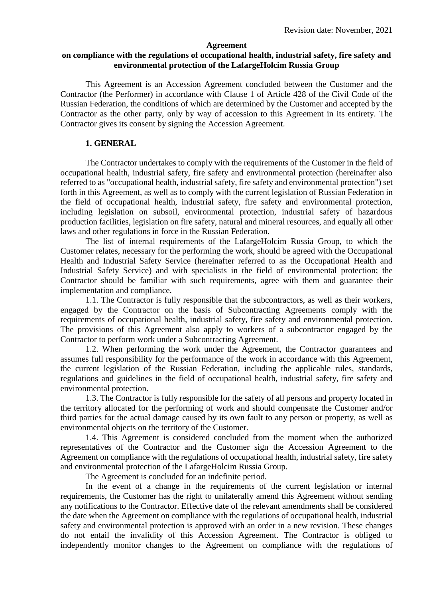#### **Agreement**

#### **on compliance with the regulations of occupational health, industrial safety, fire safety and environmental protection of the LafargeHolcim Russia Group**

This Agreement is an Accession Agreement concluded between the Customer and the Contractor (the Performer) in accordance with Clause 1 of Article 428 of the Civil Code of the Russian Federation, the conditions of which are determined by the Customer and accepted by the Contractor as the other party, only by way of accession to this Agreement in its entirety. The Contractor gives its consent by signing the Accession Agreement.

#### **1. GENERAL**

The Contractor undertakes to comply with the requirements of the Customer in the field of occupational health, industrial safety, fire safety and environmental protection (hereinafter also referred to as "occupational health, industrial safety, fire safety and environmental protection") set forth in this Agreement, as well as to comply with the current legislation of Russian Federation in the field of occupational health, industrial safety, fire safety and environmental protection, including legislation on subsoil, environmental protection, industrial safety of hazardous production facilities, legislation on fire safety, natural and mineral resources, and equally all other laws and other regulations in force in the Russian Federation.

The list of internal requirements of the LafargeHolcim Russia Group, to which the Customer relates, necessary for the performing the work, should be agreed with the Occupational Health and Industrial Safety Service (hereinafter referred to as the Occupational Health and Industrial Safety Service) and with specialists in the field of environmental protection; the Contractor should be familiar with such requirements, agree with them and guarantee their implementation and compliance.

1.1. The Contractor is fully responsible that the subcontractors, as well as their workers, engaged by the Contractor on the basis of Subcontracting Agreements comply with the requirements of occupational health, industrial safety, fire safety and environmental protection. The provisions of this Agreement also apply to workers of a subcontractor engaged by the Contractor to perform work under a Subcontracting Agreement.

1.2. When performing the work under the Agreement, the Contractor guarantees and assumes full responsibility for the performance of the work in accordance with this Agreement, the current legislation of the Russian Federation, including the applicable rules, standards, regulations and guidelines in the field of occupational health, industrial safety, fire safety and environmental protection.

1.3. The Contractor is fully responsible for the safety of all persons and property located in the territory allocated for the performing of work and should compensate the Customer and/or third parties for the actual damage caused by its own fault to any person or property, as well as environmental objects on the territory of the Customer.

1.4. This Agreement is considered concluded from the moment when the authorized representatives of the Contractor and the Customer sign the Accession Agreement to the Agreement on compliance with the regulations of occupational health, industrial safety, fire safety and environmental protection of the LafargeHolcim Russia Group.

The Agreement is concluded for an indefinite period.

In the event of a change in the requirements of the current legislation or internal requirements, the Customer has the right to unilaterally amend this Agreement without sending any notifications to the Contractor. Effective date of the relevant amendments shall be considered the date when the Agreement on compliance with the regulations of occupational health, industrial safety and environmental protection is approved with an order in a new revision. These changes do not entail the invalidity of this Accession Agreement. The Contractor is obliged to independently monitor changes to the Agreement on compliance with the regulations of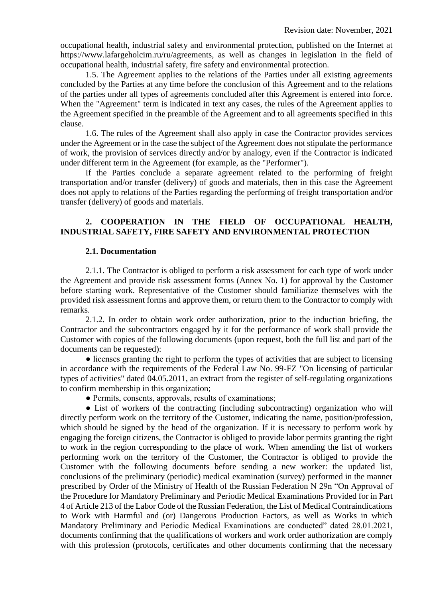occupational health, industrial safety and environmental protection, published on the Internet at https://www.lafargeholcim.ru/ru/agreements, as well as changes in legislation in the field of occupational health, industrial safety, fire safety and environmental protection.

1.5. The Agreement applies to the relations of the Parties under all existing agreements concluded by the Parties at any time before the conclusion of this Agreement and to the relations of the parties under all types of agreements concluded after this Agreement is entered into force. When the "Agreement" term is indicated in text any cases, the rules of the Agreement applies to the Agreement specified in the preamble of the Agreement and to all agreements specified in this clause.

1.6. The rules of the Agreement shall also apply in case the Contractor provides services under the Agreement or in the case the subject of the Agreement does not stipulate the performance of work, the provision of services directly and/or by analogy, even if the Contractor is indicated under different term in the Agreement (for example, as the "Performer").

If the Parties conclude a separate agreement related to the performing of freight transportation and/or transfer (delivery) of goods and materials, then in this case the Agreement does not apply to relations of the Parties regarding the performing of freight transportation and/or transfer (delivery) of goods and materials.

## **2. COOPERATION IN THE FIELD OF OCCUPATIONAL HEALTH, INDUSTRIAL SAFETY, FIRE SAFETY AND ENVIRONMENTAL PROTECTION**

## **2.1. Documentation**

2.1.1. The Contractor is obliged to perform a risk assessment for each type of work under the Agreement and provide risk assessment forms (Annex No. 1) for approval by the Customer before starting work. Representative of the Customer should familiarize themselves with the provided risk assessment forms and approve them, or return them to the Contractor to comply with remarks.

2.1.2. In order to obtain work order authorization, prior to the induction briefing, the Contractor and the subcontractors engaged by it for the performance of work shall provide the Customer with copies of the following documents (upon request, both the full list and part of the documents can be requested):

• licenses granting the right to perform the types of activities that are subject to licensing in accordance with the requirements of the Federal Law No. 99-FZ "On licensing of particular types of activities" dated 04.05.2011, an extract from the register of self-regulating organizations to confirm membership in this organization;

• Permits, consents, approvals, results of examinations;

• List of workers of the contracting (including subcontracting) organization who will directly perform work on the territory of the Customer, indicating the name, position/profession, which should be signed by the head of the organization. If it is necessary to perform work by engaging the foreign citizens, the Contractor is obliged to provide labor permits granting the right to work in the region corresponding to the place of work. When amending the list of workers performing work on the territory of the Customer, the Contractor is obliged to provide the Customer with the following documents before sending a new worker: the updated list, conclusions of the preliminary (periodic) medical examination (survey) performed in the manner prescribed by Order of the Ministry of Health of the Russian Federation N 29n "On Approval of the Procedure for Mandatory Preliminary and Periodic Medical Examinations Provided for in Part 4 of Article 213 of the Labor Code of the Russian Federation, the List of Medical Contraindications to Work with Harmful and (or) Dangerous Production Factors, as well as Works in which Mandatory Preliminary and Periodic Medical Examinations are conducted" dated 28.01.2021, documents confirming that the qualifications of workers and work order authorization are comply with this profession (protocols, certificates and other documents confirming that the necessary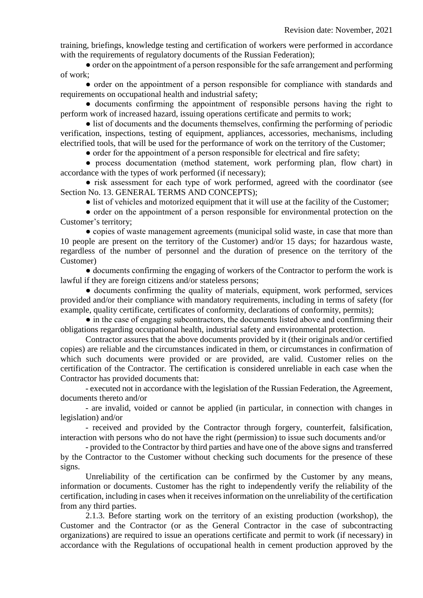training, briefings, knowledge testing and certification of workers were performed in accordance with the requirements of regulatory documents of the Russian Federation);

● order on the appointment of a person responsible for the safe arrangement and performing of work;

● order on the appointment of a person responsible for compliance with standards and requirements on occupational health and industrial safety;

● documents confirming the appointment of responsible persons having the right to perform work of increased hazard, issuing operations certificate and permits to work;

● list of documents and the documents themselves, confirming the performing of periodic verification, inspections, testing of equipment, appliances, accessories, mechanisms, including electrified tools, that will be used for the performance of work on the territory of the Customer;

• order for the appointment of a person responsible for electrical and fire safety;

● process documentation (method statement, work performing plan, flow chart) in accordance with the types of work performed (if necessary);

• risk assessment for each type of work performed, agreed with the coordinator (see Section No. 13. GENERAL TERMS AND CONCEPTS);

• list of vehicles and motorized equipment that it will use at the facility of the Customer;

• order on the appointment of a person responsible for environmental protection on the Customer's territory;

● copies of waste management agreements (municipal solid waste, in case that more than 10 people are present on the territory of the Customer) and/or 15 days; for hazardous waste, regardless of the number of personnel and the duration of presence on the territory of the Customer)

● documents confirming the engaging of workers of the Contractor to perform the work is lawful if they are foreign citizens and/or stateless persons;

• documents confirming the quality of materials, equipment, work performed, services provided and/or their compliance with mandatory requirements, including in terms of safety (for example, quality certificate, certificates of conformity, declarations of conformity, permits);

• in the case of engaging subcontractors, the documents listed above and confirming their obligations regarding occupational health, industrial safety and environmental protection.

Contractor assures that the above documents provided by it (their originals and/or certified copies) are reliable and the circumstances indicated in them, or circumstances in confirmation of which such documents were provided or are provided, are valid. Customer relies on the certification of the Contractor. The certification is considered unreliable in each case when the Contractor has provided documents that:

- executed not in accordance with the legislation of the Russian Federation, the Agreement, documents thereto and/or

- are invalid, voided or cannot be applied (in particular, in connection with changes in legislation) and/or

- received and provided by the Contractor through forgery, counterfeit, falsification, interaction with persons who do not have the right (permission) to issue such documents and/or

- provided to the Contractor by third parties and have one of the above signs and transferred by the Contractor to the Customer without checking such documents for the presence of these signs.

Unreliability of the certification can be confirmed by the Customer by any means, information or documents. Customer has the right to independently verify the reliability of the certification, including in cases when it receives information on the unreliability of the certification from any third parties.

2.1.3. Before starting work on the territory of an existing production (workshop), the Customer and the Contractor (or as the General Contractor in the case of subcontracting organizations) are required to issue an operations certificate and permit to work (if necessary) in accordance with the Regulations of occupational health in cement production approved by the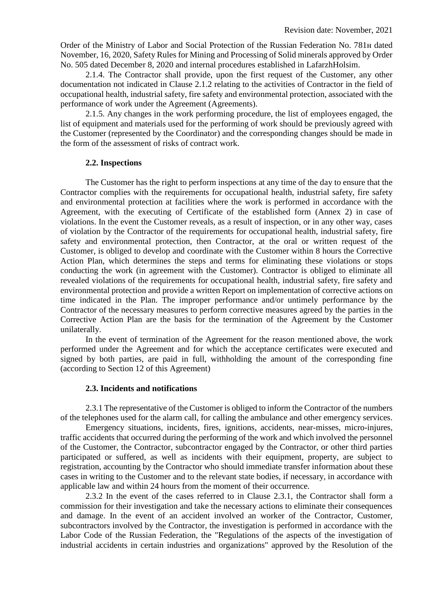Order of the Ministry of Labor and Social Protection of the Russian Federation No. 781н dated November, 16, 2020, Safety Rules for Mining and Processing of Solid minerals approved by Order No. 505 dated December 8, 2020 and internal procedures established in LafarzhHolsim.

2.1.4. The Contractor shall provide, upon the first request of the Customer, any other documentation not indicated in Clause 2.1.2 relating to the activities of Contractor in the field of occupational health, industrial safety, fire safety and environmental protection, associated with the performance of work under the Agreement (Agreements).

2.1.5. Any changes in the work performing procedure, the list of employees engaged, the list of equipment and materials used for the performing of work should be previously agreed with the Customer (represented by the Coordinator) and the corresponding changes should be made in the form of the assessment of risks of contract work.

## **2.2. Inspections**

The Customer has the right to perform inspections at any time of the day to ensure that the Contractor complies with the requirements for occupational health, industrial safety, fire safety and environmental protection at facilities where the work is performed in accordance with the Agreement, with the executing of Certificate of the established form (Annex 2) in case of violations. In the event the Customer reveals, as a result of inspection, or in any other way, cases of violation by the Contractor of the requirements for occupational health, industrial safety, fire safety and environmental protection, then Contractor, at the oral or written request of the Customer, is obliged to develop and coordinate with the Customer within 8 hours the Corrective Action Plan, which determines the steps and terms for eliminating these violations or stops conducting the work (in agreement with the Customer). Contractor is obliged to eliminate all revealed violations of the requirements for occupational health, industrial safety, fire safety and environmental protection and provide a written Report on implementation of corrective actions on time indicated in the Plan. The improper performance and/or untimely performance by the Contractor of the necessary measures to perform corrective measures agreed by the parties in the Corrective Action Plan are the basis for the termination of the Agreement by the Customer unilaterally.

In the event of termination of the Agreement for the reason mentioned above, the work performed under the Agreement and for which the acceptance certificates were executed and signed by both parties, are paid in full, withholding the amount of the corresponding fine (according to Section 12 of this Agreement)

#### **2.3. Incidents and notifications**

2.3.1 The representative of the Customer is obliged to inform the Contractor of the numbers of the telephones used for the alarm call, for calling the ambulance and other emergency services.

Emergency situations, incidents, fires, ignitions, accidents, near-misses, micro-injures, traffic accidents that occurred during the performing of the work and which involved the personnel of the Customer, the Contractor, subcontractor engaged by the Contractor, or other third parties participated or suffered, as well as incidents with their equipment, property, are subject to registration, accounting by the Contractor who should immediate transfer information about these cases in writing to the Customer and to the relevant state bodies, if necessary, in accordance with applicable law and within 24 hours from the moment of their occurrence.

2.3.2 In the event of the cases referred to in Clause 2.3.1, the Contractor shall form a commission for their investigation and take the necessary actions to eliminate their consequences and damage. In the event of an accident involved an worker of the Contractor, Customer, subcontractors involved by the Contractor, the investigation is performed in accordance with the Labor Code of the Russian Federation, the "Regulations of the aspects of the investigation of industrial accidents in certain industries and organizations" approved by the Resolution of the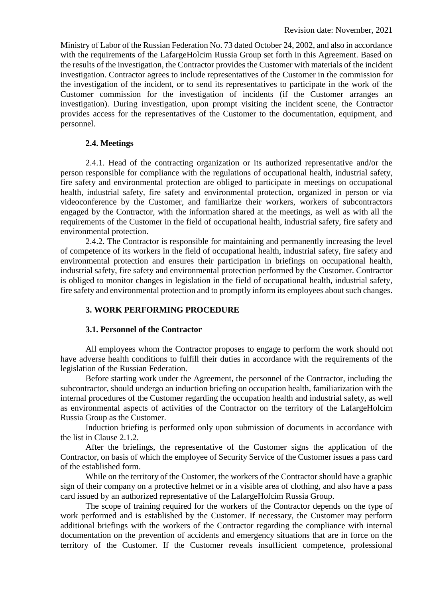Ministry of Labor of the Russian Federation No. 73 dated October 24, 2002, and also in accordance with the requirements of the LafargeHolcim Russia Group set forth in this Agreement. Based on the results of the investigation, the Contractor provides the Customer with materials of the incident investigation. Contractor agrees to include representatives of the Customer in the commission for the investigation of the incident, or to send its representatives to participate in the work of the Customer commission for the investigation of incidents (if the Customer arranges an investigation). During investigation, upon prompt visiting the incident scene, the Contractor provides access for the representatives of the Customer to the documentation, equipment, and personnel.

#### **2.4. Meetings**

2.4.1. Head of the contracting organization or its authorized representative and/or the person responsible for compliance with the regulations of occupational health, industrial safety, fire safety and environmental protection are obliged to participate in meetings on occupational health, industrial safety, fire safety and environmental protection, organized in person or via videoconference by the Customer, and familiarize their workers, workers of subcontractors engaged by the Contractor, with the information shared at the meetings, as well as with all the requirements of the Customer in the field of occupational health, industrial safety, fire safety and environmental protection.

2.4.2. The Contractor is responsible for maintaining and permanently increasing the level of competence of its workers in the field of occupational health, industrial safety, fire safety and environmental protection and ensures their participation in briefings on occupational health, industrial safety, fire safety and environmental protection performed by the Customer. Contractor is obliged to monitor changes in legislation in the field of occupational health, industrial safety, fire safety and environmental protection and to promptly inform its employees about such changes.

## **3. WORK PERFORMING PROCEDURE**

#### **3.1. Personnel of the Contractor**

All employees whom the Contractor proposes to engage to perform the work should not have adverse health conditions to fulfill their duties in accordance with the requirements of the legislation of the Russian Federation.

Before starting work under the Agreement, the personnel of the Contractor, including the subcontractor, should undergo an induction briefing on occupation health, familiarization with the internal procedures of the Customer regarding the occupation health and industrial safety, as well as environmental aspects of activities of the Contractor on the territory of the LafargeHolcim Russia Group as the Customer.

Induction briefing is performed only upon submission of documents in accordance with the list in Clause 2.1.2.

After the briefings, the representative of the Customer signs the application of the Contractor, on basis of which the employee of Security Service of the Customer issues a pass card of the established form.

While on the territory of the Customer, the workers of the Contractor should have a graphic sign of their company on a protective helmet or in a visible area of clothing, and also have a pass card issued by an authorized representative of the LafargeHolcim Russia Group.

The scope of training required for the workers of the Contractor depends on the type of work performed and is established by the Customer. If necessary, the Customer may perform additional briefings with the workers of the Contractor regarding the compliance with internal documentation on the prevention of accidents and emergency situations that are in force on the territory of the Customer. If the Customer reveals insufficient competence, professional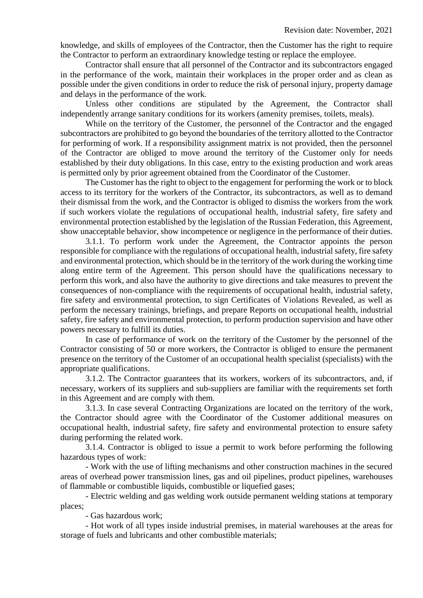knowledge, and skills of employees of the Contractor, then the Customer has the right to require the Contractor to perform an extraordinary knowledge testing or replace the employee.

Contractor shall ensure that all personnel of the Contractor and its subcontractors engaged in the performance of the work, maintain their workplaces in the proper order and as clean as possible under the given conditions in order to reduce the risk of personal injury, property damage and delays in the performance of the work.

Unless other conditions are stipulated by the Agreement, the Contractor shall independently arrange sanitary conditions for its workers (amenity premises, toilets, meals).

While on the territory of the Customer, the personnel of the Contractor and the engaged subcontractors are prohibited to go beyond the boundaries of the territory allotted to the Contractor for performing of work. If a responsibility assignment matrix is not provided, then the personnel of the Contractor are obliged to move around the territory of the Customer only for needs established by their duty obligations. In this case, entry to the existing production and work areas is permitted only by prior agreement obtained from the Coordinator of the Customer.

The Customer has the right to object to the engagement for performing the work or to block access to its territory for the workers of the Contractor, its subcontractors, as well as to demand their dismissal from the work, and the Contractor is obliged to dismiss the workers from the work if such workers violate the regulations of occupational health, industrial safety, fire safety and environmental protection established by the legislation of the Russian Federation, this Agreement, show unacceptable behavior, show incompetence or negligence in the performance of their duties.

3.1.1. To perform work under the Agreement, the Contractor appoints the person responsible for compliance with the regulations of occupational health, industrial safety, fire safety and environmental protection, which should be in the territory of the work during the working time along entire term of the Agreement. This person should have the qualifications necessary to perform this work, and also have the authority to give directions and take measures to prevent the consequences of non-compliance with the requirements of occupational health, industrial safety, fire safety and environmental protection, to sign Certificates of Violations Revealed, as well as perform the necessary trainings, briefings, and prepare Reports on occupational health, industrial safety, fire safety and environmental protection, to perform production supervision and have other powers necessary to fulfill its duties.

In case of performance of work on the territory of the Customer by the personnel of the Contractor consisting of 50 or more workers, the Contractor is obliged to ensure the permanent presence on the territory of the Customer of an occupational health specialist (specialists) with the appropriate qualifications.

3.1.2. The Contractor guarantees that its workers, workers of its subcontractors, and, if necessary, workers of its suppliers and sub-suppliers are familiar with the requirements set forth in this Agreement and are comply with them.

3.1.3. In case several Contracting Organizations are located on the territory of the work, the Contractor should agree with the Coordinator of the Customer additional measures on occupational health, industrial safety, fire safety and environmental protection to ensure safety during performing the related work.

3.1.4. Contractor is obliged to issue a permit to work before performing the following hazardous types of work:

- Work with the use of lifting mechanisms and other construction machines in the secured areas of overhead power transmission lines, gas and oil pipelines, product pipelines, warehouses of flammable or combustible liquids, combustible or liquefied gases;

- Electric welding and gas welding work outside permanent welding stations at temporary places;

- Gas hazardous work;

- Hot work of all types inside industrial premises, in material warehouses at the areas for storage of fuels and lubricants and other combustible materials;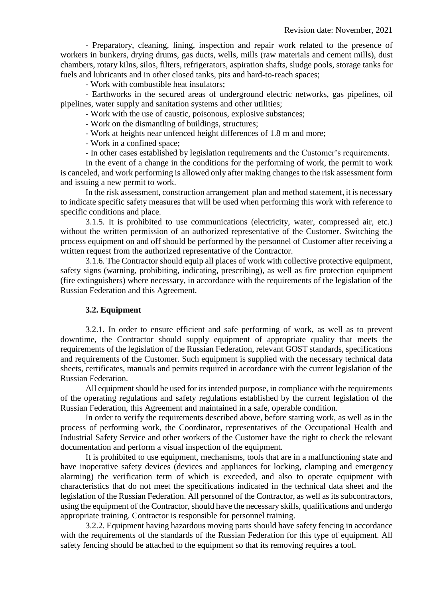- Preparatory, cleaning, lining, inspection and repair work related to the presence of workers in bunkers, drying drums, gas ducts, wells, mills (raw materials and cement mills), dust chambers, rotary kilns, silos, filters, refrigerators, aspiration shafts, sludge pools, storage tanks for fuels and lubricants and in other closed tanks, pits and hard-to-reach spaces;

- Work with combustible heat insulators;

- Earthworks in the secured areas of underground electric networks, gas pipelines, oil pipelines, water supply and sanitation systems and other utilities;

- Work with the use of caustic, poisonous, explosive substances;

- Work on the dismantling of buildings, structures;

- Work at heights near unfenced height differences of 1.8 m and more;

- Work in a confined space;

- In other cases established by legislation requirements and the Customer's requirements.

In the event of a change in the conditions for the performing of work, the permit to work is canceled, and work performing is allowed only after making changes to the risk assessment form and issuing a new permit to work.

In the risk assessment, construction arrangement plan and method statement, it is necessary to indicate specific safety measures that will be used when performing this work with reference to specific conditions and place.

3.1.5. It is prohibited to use communications (electricity, water, compressed air, etc.) without the written permission of an authorized representative of the Customer. Switching the process equipment on and off should be performed by the personnel of Customer after receiving a written request from the authorized representative of the Contractor.

3.1.6. The Contractor should equip all places of work with collective protective equipment, safety signs (warning, prohibiting, indicating, prescribing), as well as fire protection equipment (fire extinguishers) where necessary, in accordance with the requirements of the legislation of the Russian Federation and this Agreement.

#### **3.2. Equipment**

3.2.1. In order to ensure efficient and safe performing of work, as well as to prevent downtime, the Contractor should supply equipment of appropriate quality that meets the requirements of the legislation of the Russian Federation, relevant GOST standards, specifications and requirements of the Customer. Such equipment is supplied with the necessary technical data sheets, certificates, manuals and permits required in accordance with the current legislation of the Russian Federation.

All equipment should be used for its intended purpose, in compliance with the requirements of the operating regulations and safety regulations established by the current legislation of the Russian Federation, this Agreement and maintained in a safe, operable condition.

In order to verify the requirements described above, before starting work, as well as in the process of performing work, the Coordinator, representatives of the Occupational Health and Industrial Safety Service and other workers of the Customer have the right to check the relevant documentation and perform a visual inspection of the equipment.

It is prohibited to use equipment, mechanisms, tools that are in a malfunctioning state and have inoperative safety devices (devices and appliances for locking, clamping and emergency alarming) the verification term of which is exceeded, and also to operate equipment with characteristics that do not meet the specifications indicated in the technical data sheet and the legislation of the Russian Federation. All personnel of the Contractor, as well as its subcontractors, using the equipment of the Contractor, should have the necessary skills, qualifications and undergo appropriate training. Contractor is responsible for personnel training.

3.2.2. Equipment having hazardous moving parts should have safety fencing in accordance with the requirements of the standards of the Russian Federation for this type of equipment. All safety fencing should be attached to the equipment so that its removing requires a tool.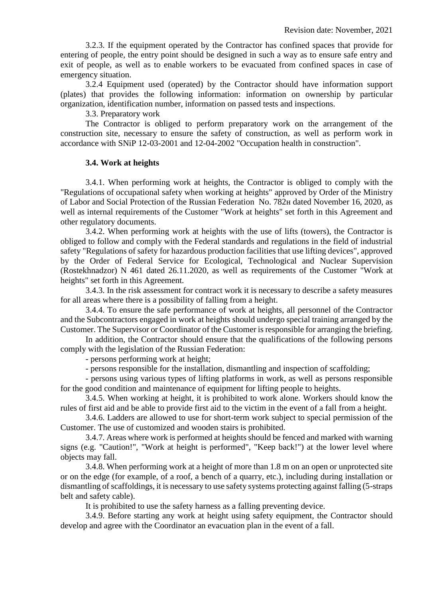3.2.3. If the equipment operated by the Contractor has confined spaces that provide for entering of people, the entry point should be designed in such a way as to ensure safe entry and exit of people, as well as to enable workers to be evacuated from confined spaces in case of emergency situation.

3.2.4 Equipment used (operated) by the Contractor should have information support (plates) that provides the following information: information on ownership by particular organization, identification number, information on passed tests and inspections.

3.3. Preparatory work

The Contractor is obliged to perform preparatory work on the arrangement of the construction site, necessary to ensure the safety of construction, as well as perform work in accordance with SNiP 12-03-2001 and 12-04-2002 "Occupation health in construction".

## **3.4. Work at heights**

3.4.1. When performing work at heights, the Contractor is obliged to comply with the "Regulations of occupational safety when working at heights" approved by Order of the Ministry of Labor and Social Protection of the Russian Federation No. 782н dated November 16, 2020, as well as internal requirements of the Customer "Work at heights" set forth in this Agreement and other regulatory documents.

3.4.2. When performing work at heights with the use of lifts (towers), the Contractor is obliged to follow and comply with the Federal standards and regulations in the field of industrial safety "Regulations of safety for hazardous production facilities that use lifting devices", approved by the Order of Federal Service for Ecological, Technological and Nuclear Supervision (Rostekhnadzor) N 461 dated 26.11.2020, as well as requirements of the Customer "Work at heights" set forth in this Agreement.

3.4.3. In the risk assessment for contract work it is necessary to describe a safety measures for all areas where there is a possibility of falling from a height.

3.4.4. To ensure the safe performance of work at heights, all personnel of the Contractor and the Subcontractors engaged in work at heights should undergo special training arranged by the Customer. The Supervisor or Coordinator of the Customer is responsible for arranging the briefing.

In addition, the Contractor should ensure that the qualifications of the following persons comply with the legislation of the Russian Federation:

- persons performing work at height;

- persons responsible for the installation, dismantling and inspection of scaffolding;

- persons using various types of lifting platforms in work, as well as persons responsible for the good condition and maintenance of equipment for lifting people to heights.

3.4.5. When working at height, it is prohibited to work alone. Workers should know the rules of first aid and be able to provide first aid to the victim in the event of a fall from a height.

3.4.6. Ladders are allowed to use for short-term work subject to special permission of the Customer. The use of customized and wooden stairs is prohibited.

3.4.7. Areas where work is performed at heights should be fenced and marked with warning signs (e.g. "Caution!", "Work at height is performed", "Keep back!") at the lower level where objects may fall.

3.4.8. When performing work at a height of more than 1.8 m on an open or unprotected site or on the edge (for example, of a roof, a bench of a quarry, etc.), including during installation or dismantling of scaffoldings, it is necessary to use safety systems protecting against falling (5-straps belt and safety cable).

It is prohibited to use the safety harness as a falling preventing device.

3.4.9. Before starting any work at height using safety equipment, the Contractor should develop and agree with the Coordinator an evacuation plan in the event of a fall.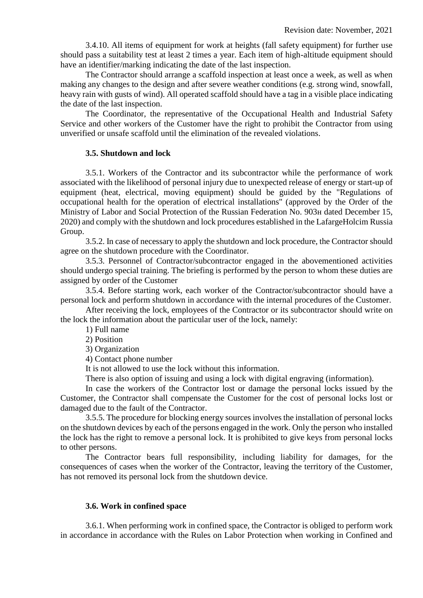3.4.10. All items of equipment for work at heights (fall safety equipment) for further use should pass a suitability test at least 2 times a year. Each item of high-altitude equipment should have an identifier/marking indicating the date of the last inspection.

The Contractor should arrange a scaffold inspection at least once a week, as well as when making any changes to the design and after severe weather conditions (e.g. strong wind, snowfall, heavy rain with gusts of wind). All operated scaffold should have a tag in a visible place indicating the date of the last inspection.

The Coordinator, the representative of the Occupational Health and Industrial Safety Service and other workers of the Customer have the right to prohibit the Contractor from using unverified or unsafe scaffold until the elimination of the revealed violations.

#### **3.5. Shutdown and lock**

3.5.1. Workers of the Contractor and its subcontractor while the performance of work associated with the likelihood of personal injury due to unexpected release of energy or start-up of equipment (heat, electrical, moving equipment) should be guided by the "Regulations of occupational health for the operation of electrical installations" (approved by the Order of the Ministry of Labor and Social Protection of the Russian Federation No. 903н dated December 15, 2020) and comply with the shutdown and lock procedures established in the LafargeHolcim Russia Group.

3.5.2. In case of necessary to apply the shutdown and lock procedure, the Contractor should agree on the shutdown procedure with the Coordinator.

3.5.3. Personnel of Contractor/subcontractor engaged in the abovementioned activities should undergo special training. The briefing is performed by the person to whom these duties are assigned by order of the Customer

3.5.4. Before starting work, each worker of the Contractor/subcontractor should have a personal lock and perform shutdown in accordance with the internal procedures of the Customer.

After receiving the lock, employees of the Contractor or its subcontractor should write on the lock the information about the particular user of the lock, namely:

1) Full name

2) Position

3) Organization

4) Contact phone number

It is not allowed to use the lock without this information.

There is also option of issuing and using a lock with digital engraving (information).

In case the workers of the Contractor lost or damage the personal locks issued by the Customer, the Contractor shall compensate the Customer for the cost of personal locks lost or damaged due to the fault of the Contractor.

3.5.5. The procedure for blocking energy sources involves the installation of personal locks on the shutdown devices by each of the persons engaged in the work. Only the person who installed the lock has the right to remove a personal lock. It is prohibited to give keys from personal locks to other persons.

The Contractor bears full responsibility, including liability for damages, for the consequences of cases when the worker of the Contractor, leaving the territory of the Customer, has not removed its personal lock from the shutdown device.

#### **3.6. Work in confined space**

3.6.1. When performing work in confined space, the Contractor is obliged to perform work in accordance in accordance with the Rules on Labor Protection when working in Confined and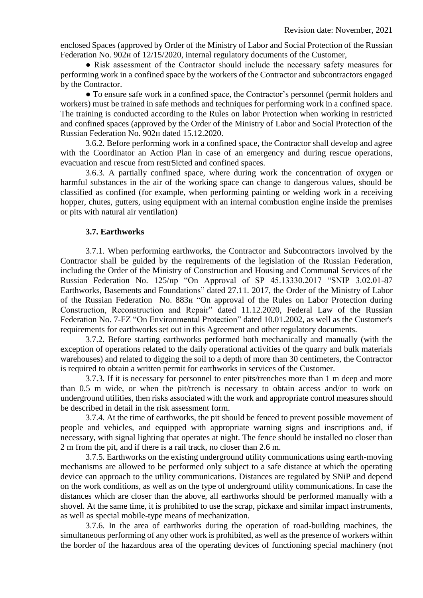enclosed Spaces (approved by Order of the Ministry of Labor and Social Protection of the Russian Federation No. 902н of 12/15/2020, internal regulatory documents of the Customer,

● Risk assessment of the Contractor should include the necessary safety measures for performing work in a confined space by the workers of the Contractor and subcontractors engaged by the Contractor.

● To ensure safe work in a confined space, the Contractor's personnel (permit holders and workers) must be trained in safe methods and techniques for performing work in a confined space. The training is conducted according to the Rules on labor Protection when working in restricted and confined spaces (approved by the Order of the Ministry of Labor and Social Protection of the Russian Federation No. 902н dated 15.12.2020.

3.6.2. Before performing work in a confined space, the Contractor shall develop and agree with the Coordinator an Action Plan in case of an emergency and during rescue operations, evacuation and rescue from restr5icted and confined spaces.

3.6.3. A partially confined space, where during work the concentration of oxygen or harmful substances in the air of the working space can change to dangerous values, should be classified as confined (for example, when performing painting or welding work in a receiving hopper, chutes, gutters, using equipment with an internal combustion engine inside the premises or pits with natural air ventilation)

#### **3.7. Earthworks**

3.7.1. When performing earthworks, the Contractor and Subcontractors involved by the Contractor shall be guided by the requirements of the legislation of the Russian Federation, including the Order of the Ministry of Construction and Housing and Communal Services of the Russian Federation No. 125/пр "On Approval of SP 45.13330.2017 "SNIP 3.02.01-87 Earthworks, Basements and Foundations" dated 27.11. 2017, the Order of the Ministry of Labor of the Russian Federation No. 883н "On approval of the Rules on Labor Protection during Construction, Reconstruction and Repair" dated 11.12.2020, Federal Law of the Russian Federation No. 7-FZ "On Environmental Protection" dated 10.01.2002, as well as the Customer's requirements for earthworks set out in this Agreement and other regulatory documents.

3.7.2. Before starting earthworks performed both mechanically and manually (with the exception of operations related to the daily operational activities of the quarry and bulk materials warehouses) and related to digging the soil to a depth of more than 30 centimeters, the Contractor is required to obtain a written permit for earthworks in services of the Customer.

3.7.3. If it is necessary for personnel to enter pits/trenches more than 1 m deep and more than 0.5 m wide, or when the pit/trench is necessary to obtain access and/or to work on underground utilities, then risks associated with the work and appropriate control measures should be described in detail in the risk assessment form.

3.7.4. At the time of earthworks, the pit should be fenced to prevent possible movement of people and vehicles, and equipped with appropriate warning signs and inscriptions and, if necessary, with signal lighting that operates at night. The fence should be installed no closer than 2 m from the pit, and if there is a rail track, no closer than 2.6 m.

3.7.5. Earthworks on the existing underground utility communications using earth-moving mechanisms are allowed to be performed only subject to a safe distance at which the operating device can approach to the utility communications. Distances are regulated by SNiP and depend on the work conditions, as well as on the type of underground utility communications. In case the distances which are closer than the above, all earthworks should be performed manually with a shovel. At the same time, it is prohibited to use the scrap, pickaxe and similar impact instruments, as well as special mobile-type means of mechanization.

3.7.6. In the area of earthworks during the operation of road-building machines, the simultaneous performing of any other work is prohibited, as well as the presence of workers within the border of the hazardous area of the operating devices of functioning special machinery (not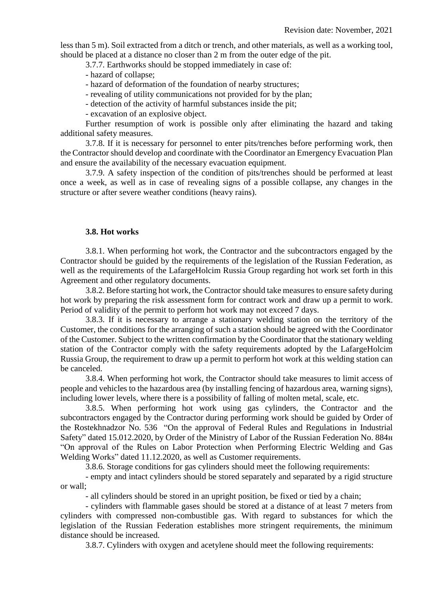less than 5 m). Soil extracted from a ditch or trench, and other materials, as well as a working tool, should be placed at a distance no closer than 2 m from the outer edge of the pit.

3.7.7. Earthworks should be stopped immediately in case of:

- hazard of collapse;

- hazard of deformation of the foundation of nearby structures;

- revealing of utility communications not provided for by the plan;

- detection of the activity of harmful substances inside the pit;

- excavation of an explosive object.

Further resumption of work is possible only after eliminating the hazard and taking additional safety measures.

3.7.8. If it is necessary for personnel to enter pits/trenches before performing work, then the Contractor should develop and coordinate with the Coordinator an Emergency Evacuation Plan and ensure the availability of the necessary evacuation equipment.

3.7.9. A safety inspection of the condition of pits/trenches should be performed at least once a week, as well as in case of revealing signs of a possible collapse, any changes in the structure or after severe weather conditions (heavy rains).

#### **3.8. Hot works**

3.8.1. When performing hot work, the Contractor and the subcontractors engaged by the Contractor should be guided by the requirements of the legislation of the Russian Federation, as well as the requirements of the LafargeHolcim Russia Group regarding hot work set forth in this Agreement and other regulatory documents.

3.8.2. Before starting hot work, the Contractor should take measures to ensure safety during hot work by preparing the risk assessment form for contract work and draw up a permit to work. Period of validity of the permit to perform hot work may not exceed 7 days.

3.8.3. If it is necessary to arrange a stationary welding station on the territory of the Customer, the conditions for the arranging of such a station should be agreed with the Coordinator of the Customer. Subject to the written confirmation by the Coordinator that the stationary welding station of the Contractor comply with the safety requirements adopted by the LafargeHolcim Russia Group, the requirement to draw up a permit to perform hot work at this welding station can be canceled.

3.8.4. When performing hot work, the Contractor should take measures to limit access of people and vehicles to the hazardous area (by installing fencing of hazardous area, warning signs), including lower levels, where there is a possibility of falling of molten metal, scale, etc.

3.8.5. When performing hot work using gas cylinders, the Contractor and the subcontractors engaged by the Contractor during performing work should be guided by Order of the Rostekhnadzor No. 536 "On the approval of Federal Rules and Regulations in Industrial Safety" dated 15.012.2020, by Order of the Ministry of Labor of the Russian Federation No. 884н "On approval of the Rules on Labor Protection when Performing Electric Welding and Gas Welding Works" dated 11.12.2020, as well as Customer requirements.

3.8.6. Storage conditions for gas cylinders should meet the following requirements:

- empty and intact cylinders should be stored separately and separated by a rigid structure or wall;

- all cylinders should be stored in an upright position, be fixed or tied by a chain;

- cylinders with flammable gases should be stored at a distance of at least 7 meters from cylinders with compressed non-combustible gas. With regard to substances for which the legislation of the Russian Federation establishes more stringent requirements, the minimum distance should be increased.

3.8.7. Cylinders with oxygen and acetylene should meet the following requirements: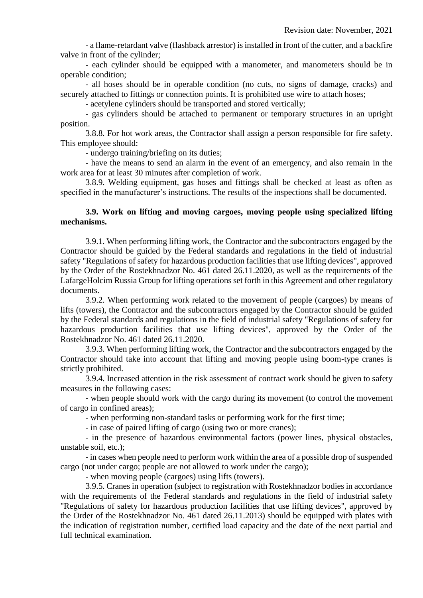- a flame-retardant valve (flashback arrestor) is installed in front of the cutter, and a backfire valve in front of the cylinder;

- each cylinder should be equipped with a manometer, and manometers should be in operable condition;

- all hoses should be in operable condition (no cuts, no signs of damage, cracks) and securely attached to fittings or connection points. It is prohibited use wire to attach hoses;

- acetylene cylinders should be transported and stored vertically;

- gas cylinders should be attached to permanent or temporary structures in an upright position.

3.8.8. For hot work areas, the Contractor shall assign a person responsible for fire safety. This employee should:

- undergo training/briefing on its duties;

- have the means to send an alarm in the event of an emergency, and also remain in the work area for at least 30 minutes after completion of work.

3.8.9. Welding equipment, gas hoses and fittings shall be checked at least as often as specified in the manufacturer's instructions. The results of the inspections shall be documented.

## **3.9. Work on lifting and moving cargoes, moving people using specialized lifting mechanisms.**

3.9.1. When performing lifting work, the Contractor and the subcontractors engaged by the Contractor should be guided by the Federal standards and regulations in the field of industrial safety "Regulations of safety for hazardous production facilities that use lifting devices", approved by the Order of the Rostekhnadzor No. 461 dated 26.11.2020, as well as the requirements of the LafargeHolcim Russia Group for lifting operations set forth in this Agreement and other regulatory documents.

3.9.2. When performing work related to the movement of people (cargoes) by means of lifts (towers), the Contractor and the subcontractors engaged by the Contractor should be guided by the Federal standards and regulations in the field of industrial safety "Regulations of safety for hazardous production facilities that use lifting devices", approved by the Order of the Rostekhnadzor No. 461 dated 26.11.2020.

3.9.3. When performing lifting work, the Contractor and the subcontractors engaged by the Contractor should take into account that lifting and moving people using boom-type cranes is strictly prohibited.

3.9.4. Increased attention in the risk assessment of contract work should be given to safety measures in the following cases:

- when people should work with the cargo during its movement (to control the movement of cargo in confined areas);

- when performing non-standard tasks or performing work for the first time;

- in case of paired lifting of cargo (using two or more cranes);

- in the presence of hazardous environmental factors (power lines, physical obstacles, unstable soil, etc.);

- in cases when people need to perform work within the area of a possible drop of suspended cargo (not under cargo; people are not allowed to work under the cargo);

- when moving people (cargoes) using lifts (towers).

3.9.5. Cranes in operation (subject to registration with Rostekhnadzor bodies in accordance with the requirements of the Federal standards and regulations in the field of industrial safety "Regulations of safety for hazardous production facilities that use lifting devices", approved by the Order of the Rostekhnadzor No. 461 dated 26.11.2013) should be equipped with plates with the indication of registration number, certified load capacity and the date of the next partial and full technical examination.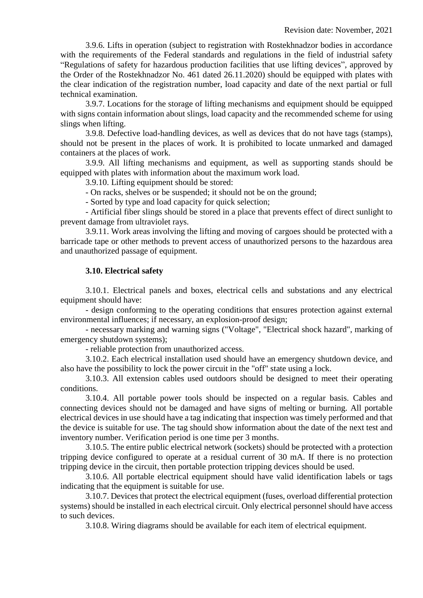3.9.6. Lifts in operation (subject to registration with Rostekhnadzor bodies in accordance with the requirements of the Federal standards and regulations in the field of industrial safety "Regulations of safety for hazardous production facilities that use lifting devices", approved by the Order of the Rostekhnadzor No. 461 dated 26.11.2020) should be equipped with plates with the clear indication of the registration number, load capacity and date of the next partial or full technical examination.

3.9.7. Locations for the storage of lifting mechanisms and equipment should be equipped with signs contain information about slings, load capacity and the recommended scheme for using slings when lifting.

3.9.8. Defective load-handling devices, as well as devices that do not have tags (stamps), should not be present in the places of work. It is prohibited to locate unmarked and damaged containers at the places of work.

3.9.9. All lifting mechanisms and equipment, as well as supporting stands should be equipped with plates with information about the maximum work load.

3.9.10. Lifting equipment should be stored:

- On racks, shelves or be suspended; it should not be on the ground;

- Sorted by type and load capacity for quick selection;

- Artificial fiber slings should be stored in a place that prevents effect of direct sunlight to prevent damage from ultraviolet rays.

3.9.11. Work areas involving the lifting and moving of cargoes should be protected with a barricade tape or other methods to prevent access of unauthorized persons to the hazardous area and unauthorized passage of equipment.

## **3.10. Electrical safety**

3.10.1. Electrical panels and boxes, electrical cells and substations and any electrical equipment should have:

- design conforming to the operating conditions that ensures protection against external environmental influences; if necessary, an explosion-proof design;

- necessary marking and warning signs ("Voltage", "Electrical shock hazard", marking of emergency shutdown systems);

- reliable protection from unauthorized access.

3.10.2. Each electrical installation used should have an emergency shutdown device, and also have the possibility to lock the power circuit in the "off" state using a lock.

3.10.3. All extension cables used outdoors should be designed to meet their operating conditions.

3.10.4. All portable power tools should be inspected on a regular basis. Cables and connecting devices should not be damaged and have signs of melting or burning. All portable electrical devices in use should have a tag indicating that inspection was timely performed and that the device is suitable for use. The tag should show information about the date of the next test and inventory number. Verification period is one time per 3 months.

3.10.5. The entire public electrical network (sockets) should be protected with a protection tripping device configured to operate at a residual current of 30 mA. If there is no protection tripping device in the circuit, then portable protection tripping devices should be used.

3.10.6. All portable electrical equipment should have valid identification labels or tags indicating that the equipment is suitable for use.

3.10.7. Devices that protect the electrical equipment (fuses, overload differential protection systems) should be installed in each electrical circuit. Only electrical personnel should have access to such devices.

3.10.8. Wiring diagrams should be available for each item of electrical equipment.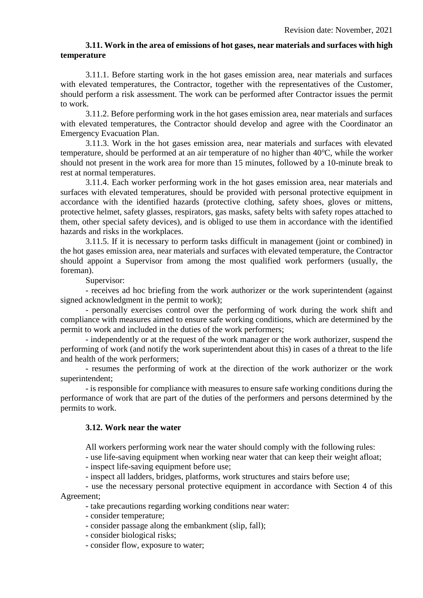## **3.11. Work in the area of emissions of hot gases, near materials and surfaces with high temperature**

3.11.1. Before starting work in the hot gases emission area, near materials and surfaces with elevated temperatures, the Contractor, together with the representatives of the Customer, should perform a risk assessment. The work can be performed after Contractor issues the permit to work.

3.11.2. Before performing work in the hot gases emission area, near materials and surfaces with elevated temperatures, the Contractor should develop and agree with the Coordinator an Emergency Evacuation Plan.

3.11.3. Work in the hot gases emission area, near materials and surfaces with elevated temperature, should be performed at an air temperature of no higher than  $40^{\circ}$ C, while the worker should not present in the work area for more than 15 minutes, followed by a 10-minute break to rest at normal temperatures.

3.11.4. Each worker performing work in the hot gases emission area, near materials and surfaces with elevated temperatures, should be provided with personal protective equipment in accordance with the identified hazards (protective clothing, safety shoes, gloves or mittens, protective helmet, safety glasses, respirators, gas masks, safety belts with safety ropes attached to them, other special safety devices), and is obliged to use them in accordance with the identified hazards and risks in the workplaces.

3.11.5. If it is necessary to perform tasks difficult in management (joint or combined) in the hot gases emission area, near materials and surfaces with elevated temperature, the Contractor should appoint a Supervisor from among the most qualified work performers (usually, the foreman).

Supervisor:

- receives ad hoc briefing from the work authorizer or the work superintendent (against signed acknowledgment in the permit to work);

- personally exercises control over the performing of work during the work shift and compliance with measures aimed to ensure safe working conditions, which are determined by the permit to work and included in the duties of the work performers;

- independently or at the request of the work manager or the work authorizer, suspend the performing of work (and notify the work superintendent about this) in cases of a threat to the life and health of the work performers;

- resumes the performing of work at the direction of the work authorizer or the work superintendent;

- is responsible for compliance with measures to ensure safe working conditions during the performance of work that are part of the duties of the performers and persons determined by the permits to work.

#### **3.12. Work near the water**

All workers performing work near the water should comply with the following rules:

- use life-saving equipment when working near water that can keep their weight afloat;

- inspect life-saving equipment before use;

- inspect all ladders, bridges, platforms, work structures and stairs before use;

- use the necessary personal protective equipment in accordance with Section 4 of this Agreement;

- take precautions regarding working conditions near water:

- consider temperature;
- consider passage along the embankment (slip, fall);
- consider biological risks;

- consider flow, exposure to water;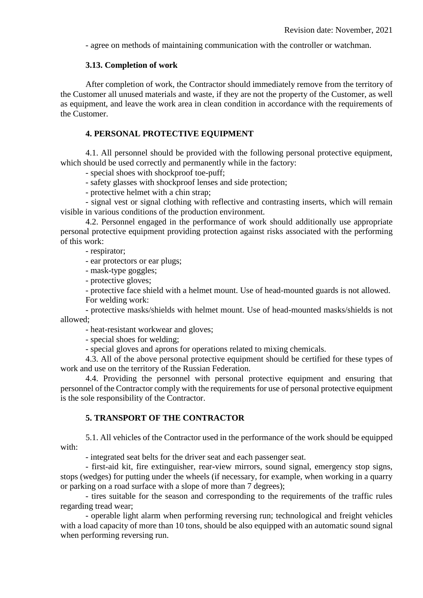- agree on methods of maintaining communication with the controller or watchman.

#### **3.13. Completion of work**

After completion of work, the Contractor should immediately remove from the territory of the Customer all unused materials and waste, if they are not the property of the Customer, as well as equipment, and leave the work area in clean condition in accordance with the requirements of the Customer.

## **4. PERSONAL PROTECTIVE EQUIPMENT**

4.1. All personnel should be provided with the following personal protective equipment, which should be used correctly and permanently while in the factory:

- special shoes with shockproof toe-puff;

- safety glasses with shockproof lenses and side protection;

- protective helmet with a chin strap;

- signal vest or signal clothing with reflective and contrasting inserts, which will remain visible in various conditions of the production environment.

4.2. Personnel engaged in the performance of work should additionally use appropriate personal protective equipment providing protection against risks associated with the performing of this work:

- respirator;

- ear protectors or ear plugs;

- mask-type goggles;

- protective gloves;

- protective face shield with a helmet mount. Use of head-mounted guards is not allowed.

For welding work:

- protective masks/shields with helmet mount. Use of head-mounted masks/shields is not allowed;

- heat-resistant workwear and gloves;

- special shoes for welding;

- special gloves and aprons for operations related to mixing chemicals.

4.3. All of the above personal protective equipment should be certified for these types of work and use on the territory of the Russian Federation.

4.4. Providing the personnel with personal protective equipment and ensuring that personnel of the Contractor comply with the requirements for use of personal protective equipment is the sole responsibility of the Contractor.

## **5. TRANSPORT OF THE CONTRACTOR**

5.1. All vehicles of the Contractor used in the performance of the work should be equipped with:

- integrated seat belts for the driver seat and each passenger seat.

- first-aid kit, fire extinguisher, rear-view mirrors, sound signal, emergency stop signs, stops (wedges) for putting under the wheels (if necessary, for example, when working in a quarry or parking on a road surface with a slope of more than 7 degrees);

- tires suitable for the season and corresponding to the requirements of the traffic rules regarding tread wear;

- operable light alarm when performing reversing run; technological and freight vehicles with a load capacity of more than 10 tons, should be also equipped with an automatic sound signal when performing reversing run.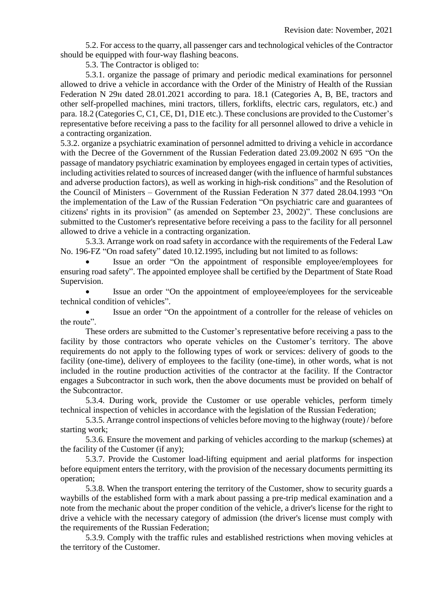5.2. For access to the quarry, all passenger cars and technological vehicles of the Contractor should be equipped with four-way flashing beacons.

5.3. The Contractor is obliged to:

5.3.1. organize the passage of primary and periodic medical examinations for personnel allowed to drive a vehicle in accordance with the Order of the Ministry of Health of the Russian Federation N 29н dated 28.01.2021 according to para. 18.1 (Categories A, B, BE, tractors and other self-propelled machines, mini tractors, tillers, forklifts, electric cars, regulators, etc.) and para. 18.2 (Categories C, C1, CE, D1, D1E etc.). These conclusions are provided to the Customer's representative before receiving a pass to the facility for all personnel allowed to drive a vehicle in a contracting organization.

5.3.2. organize a psychiatric examination of personnel admitted to driving a vehicle in accordance with the Decree of the Government of the Russian Federation dated 23.09.2002 N 695 "On the passage of mandatory psychiatric examination by employees engaged in certain types of activities, including activities related to sources of increased danger (with the influence of harmful substances and adverse production factors), as well as working in high-risk conditions" and the Resolution of the Council of Ministers – Government of the Russian Federation N 377 dated 28.04.1993 "On the implementation of the Law of the Russian Federation "On psychiatric care and guarantees of citizens' rights in its provision" (as amended on September 23, 2002)". These conclusions are submitted to the Customer's representative before receiving a pass to the facility for all personnel allowed to drive a vehicle in a contracting organization.

5.3.3. Arrange work on road safety in accordance with the requirements of the Federal Law No. 196-FZ "On road safety" dated 10.12.1995, including but not limited to as follows:

 Issue an order "On the appointment of responsible employee/employees for ensuring road safety". The appointed employee shall be certified by the Department of State Road Supervision.

 Issue an order "On the appointment of employee/employees for the serviceable technical condition of vehicles".

 Issue an order "On the appointment of a controller for the release of vehicles on the route".

These orders are submitted to the Customer's representative before receiving a pass to the facility by those contractors who operate vehicles on the Customer's territory. The above requirements do not apply to the following types of work or services: delivery of goods to the facility (one-time), delivery of employees to the facility (one-time), in other words, what is not included in the routine production activities of the contractor at the facility. If the Contractor engages a Subcontractor in such work, then the above documents must be provided on behalf of the Subcontractor.

5.3.4. During work, provide the Customer or use operable vehicles, perform timely technical inspection of vehicles in accordance with the legislation of the Russian Federation;

5.3.5. Arrange control inspections of vehicles before moving to the highway (route) / before starting work;

5.3.6. Ensure the movement and parking of vehicles according to the markup (schemes) at the facility of the Customer (if any);

5.3.7. Provide the Customer load-lifting equipment and aerial platforms for inspection before equipment enters the territory, with the provision of the necessary documents permitting its operation;

5.3.8. When the transport entering the territory of the Customer, show to security guards a waybills of the established form with a mark about passing a pre-trip medical examination and a note from the mechanic about the proper condition of the vehicle, a driver's license for the right to drive a vehicle with the necessary category of admission (the driver's license must comply with the requirements of the Russian Federation;

5.3.9. Comply with the traffic rules and established restrictions when moving vehicles at the territory of the Customer.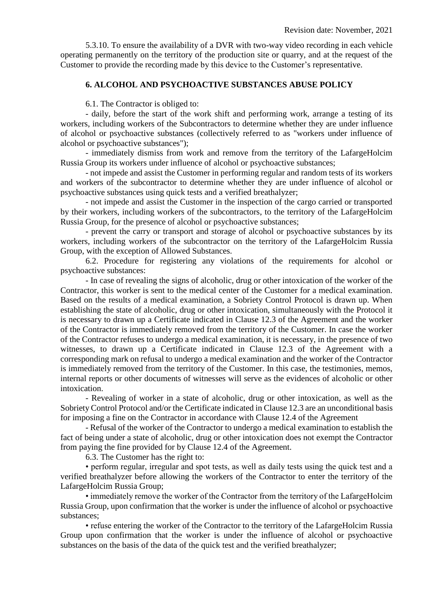5.3.10. To ensure the availability of a DVR with two-way video recording in each vehicle operating permanently on the territory of the production site or quarry, and at the request of the Customer to provide the recording made by this device to the Customer's representative.

#### **6. ALCOHOL AND PSYCHOACTIVE SUBSTANCES ABUSE POLICY**

6.1. The Contractor is obliged to:

- daily, before the start of the work shift and performing work, arrange a testing of its workers, including workers of the Subcontractors to determine whether they are under influence of alcohol or psychoactive substances (collectively referred to as "workers under influence of alcohol or psychoactive substances");

- immediately dismiss from work and remove from the territory of the LafargeHolcim Russia Group its workers under influence of alcohol or psychoactive substances;

- not impede and assist the Customer in performing regular and random tests of its workers and workers of the subcontractor to determine whether they are under influence of alcohol or psychoactive substances using quick tests and a verified breathalyzer;

- not impede and assist the Customer in the inspection of the cargo carried or transported by their workers, including workers of the subcontractors, to the territory of the LafargeHolcim Russia Group, for the presence of alcohol or psychoactive substances;

- prevent the carry or transport and storage of alcohol or psychoactive substances by its workers, including workers of the subcontractor on the territory of the LafargeHolcim Russia Group, with the exception of Allowed Substances.

6.2. Procedure for registering any violations of the requirements for alcohol or psychoactive substances:

- In case of revealing the signs of alcoholic, drug or other intoxication of the worker of the Contractor, this worker is sent to the medical center of the Customer for a medical examination. Based on the results of a medical examination, a Sobriety Control Protocol is drawn up. When establishing the state of alcoholic, drug or other intoxication, simultaneously with the Protocol it is necessary to drawn up a Certificate indicated in Clause 12.3 of the Agreement and the worker of the Contractor is immediately removed from the territory of the Customer. In case the worker of the Contractor refuses to undergo a medical examination, it is necessary, in the presence of two witnesses, to drawn up a Certificate indicated in Clause 12.3 of the Agreement with a corresponding mark on refusal to undergo a medical examination and the worker of the Contractor is immediately removed from the territory of the Customer. In this case, the testimonies, memos, internal reports or other documents of witnesses will serve as the evidences of alcoholic or other intoxication.

- Revealing of worker in a state of alcoholic, drug or other intoxication, as well as the Sobriety Control Protocol and/or the Certificate indicated in Clause 12.3 are an unconditional basis for imposing a fine on the Contractor in accordance with Clause 12.4 of the Agreement

- Refusal of the worker of the Contractor to undergo a medical examination to establish the fact of being under a state of alcoholic, drug or other intoxication does not exempt the Contractor from paying the fine provided for by Clause 12.4 of the Agreement.

6.3. The Customer has the right to:

• perform regular, irregular and spot tests, as well as daily tests using the quick test and a verified breathalyzer before allowing the workers of the Contractor to enter the territory of the LafargeHolcim Russia Group;

• immediately remove the worker of the Contractor from the territory of the LafargeHolcim Russia Group, upon confirmation that the worker is under the influence of alcohol or psychoactive substances;

• refuse entering the worker of the Contractor to the territory of the LafargeHolcim Russia Group upon confirmation that the worker is under the influence of alcohol or psychoactive substances on the basis of the data of the quick test and the verified breathalyzer;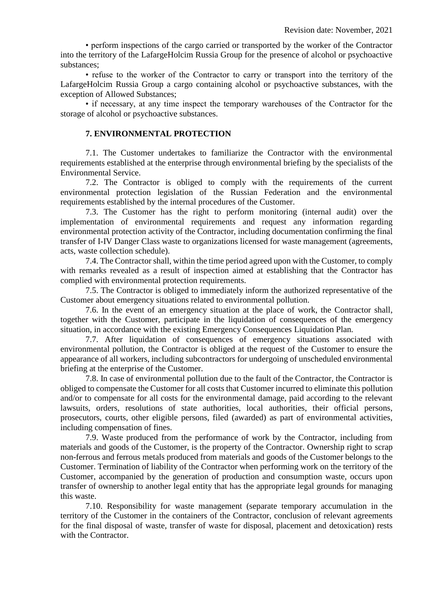• perform inspections of the cargo carried or transported by the worker of the Contractor into the territory of the LafargeHolcim Russia Group for the presence of alcohol or psychoactive substances;

• refuse to the worker of the Contractor to carry or transport into the territory of the LafargeHolcim Russia Group a cargo containing alcohol or psychoactive substances, with the exception of Allowed Substances;

• if necessary, at any time inspect the temporary warehouses of the Contractor for the storage of alcohol or psychoactive substances.

#### **7. ENVIRONMENTAL PROTECTION**

7.1. The Customer undertakes to familiarize the Contractor with the environmental requirements established at the enterprise through environmental briefing by the specialists of the Environmental Service.

7.2. The Contractor is obliged to comply with the requirements of the current environmental protection legislation of the Russian Federation and the environmental requirements established by the internal procedures of the Customer.

7.3. The Customer has the right to perform monitoring (internal audit) over the implementation of environmental requirements and request any information regarding environmental protection activity of the Contractor, including documentation confirming the final transfer of I-IV Danger Class waste to organizations licensed for waste management (agreements, acts, waste collection schedule).

7.4. The Contractor shall, within the time period agreed upon with the Customer, to comply with remarks revealed as a result of inspection aimed at establishing that the Contractor has complied with environmental protection requirements.

7.5. The Contractor is obliged to immediately inform the authorized representative of the Customer about emergency situations related to environmental pollution.

7.6. In the event of an emergency situation at the place of work, the Contractor shall, together with the Customer, participate in the liquidation of consequences of the emergency situation, in accordance with the existing Emergency Consequences Liquidation Plan.

7.7. After liquidation of consequences of emergency situations associated with environmental pollution, the Contractor is obliged at the request of the Customer to ensure the appearance of all workers, including subcontractors for undergoing of unscheduled environmental briefing at the enterprise of the Customer.

7.8. In case of environmental pollution due to the fault of the Contractor, the Contractor is obliged to compensate the Customer for all costs that Customer incurred to eliminate this pollution and/or to compensate for all costs for the environmental damage, paid according to the relevant lawsuits, orders, resolutions of state authorities, local authorities, their official persons, prosecutors, courts, other eligible persons, filed (awarded) as part of environmental activities, including compensation of fines.

7.9. Waste produced from the performance of work by the Contractor, including from materials and goods of the Customer, is the property of the Contractor. Ownership right to scrap non-ferrous and ferrous metals produced from materials and goods of the Customer belongs to the Customer. Termination of liability of the Contractor when performing work on the territory of the Customer, accompanied by the generation of production and consumption waste, occurs upon transfer of ownership to another legal entity that has the appropriate legal grounds for managing this waste.

7.10. Responsibility for waste management (separate temporary accumulation in the territory of the Customer in the containers of the Contractor, conclusion of relevant agreements for the final disposal of waste, transfer of waste for disposal, placement and detoxication) rests with the Contractor.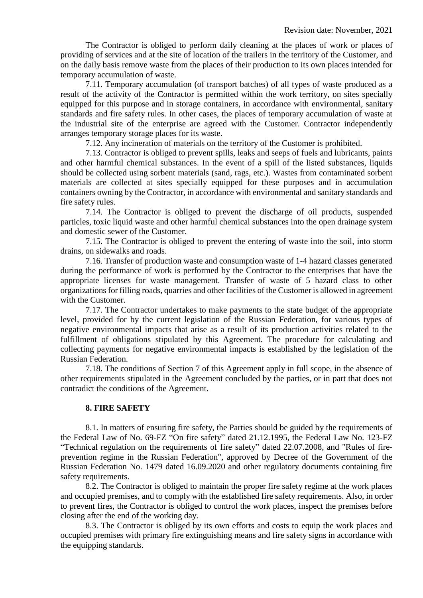The Contractor is obliged to perform daily cleaning at the places of work or places of providing of services and at the site of location of the trailers in the territory of the Customer, and on the daily basis remove waste from the places of their production to its own places intended for temporary accumulation of waste.

7.11. Temporary accumulation (of transport batches) of all types of waste produced as a result of the activity of the Contractor is permitted within the work territory, on sites specially equipped for this purpose and in storage containers, in accordance with environmental, sanitary standards and fire safety rules. In other cases, the places of temporary accumulation of waste at the industrial site of the enterprise are agreed with the Customer. Contractor independently arranges temporary storage places for its waste.

7.12. Any incineration of materials on the territory of the Customer is prohibited.

7.13. Contractor is obliged to prevent spills, leaks and seeps of fuels and lubricants, paints and other harmful chemical substances. In the event of a spill of the listed substances, liquids should be collected using sorbent materials (sand, rags, etc.). Wastes from contaminated sorbent materials are collected at sites specially equipped for these purposes and in accumulation containers owning by the Contractor, in accordance with environmental and sanitary standards and fire safety rules.

7.14. The Contractor is obliged to prevent the discharge of oil products, suspended particles, toxic liquid waste and other harmful chemical substances into the open drainage system and domestic sewer of the Customer.

7.15. The Contractor is obliged to prevent the entering of waste into the soil, into storm drains, on sidewalks and roads.

7.16. Transfer of production waste and consumption waste of 1-4 hazard classes generated during the performance of work is performed by the Contractor to the enterprises that have the appropriate licenses for waste management. Transfer of waste of 5 hazard class to other organizations for filling roads, quarries and other facilities of the Customer is allowed in agreement with the Customer.

7.17. The Contractor undertakes to make payments to the state budget of the appropriate level, provided for by the current legislation of the Russian Federation, for various types of negative environmental impacts that arise as a result of its production activities related to the fulfillment of obligations stipulated by this Agreement. The procedure for calculating and collecting payments for negative environmental impacts is established by the legislation of the Russian Federation.

7.18. The conditions of Section 7 of this Agreement apply in full scope, in the absence of other requirements stipulated in the Agreement concluded by the parties, or in part that does not contradict the conditions of the Agreement.

#### **8. FIRE SAFETY**

8.1. In matters of ensuring fire safety, the Parties should be guided by the requirements of the Federal Law of No. 69-FZ "On fire safety" dated 21.12.1995, the Federal Law No. 123-FZ "Technical regulation on the requirements of fire safety" dated 22.07.2008, and "Rules of fireprevention regime in the Russian Federation", approved by Decree of the Government of the Russian Federation No. 1479 dated 16.09.2020 and other regulatory documents containing fire safety requirements.

8.2. The Contractor is obliged to maintain the proper fire safety regime at the work places and occupied premises, and to comply with the established fire safety requirements. Also, in order to prevent fires, the Contractor is obliged to control the work places, inspect the premises before closing after the end of the working day.

8.3. The Contractor is obliged by its own efforts and costs to equip the work places and occupied premises with primary fire extinguishing means and fire safety signs in accordance with the equipping standards.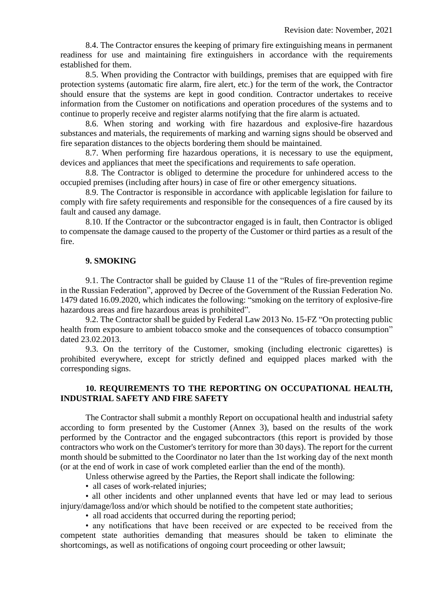8.4. The Contractor ensures the keeping of primary fire extinguishing means in permanent readiness for use and maintaining fire extinguishers in accordance with the requirements established for them.

8.5. When providing the Contractor with buildings, premises that are equipped with fire protection systems (automatic fire alarm, fire alert, etc.) for the term of the work, the Contractor should ensure that the systems are kept in good condition. Contractor undertakes to receive information from the Customer on notifications and operation procedures of the systems and to continue to properly receive and register alarms notifying that the fire alarm is actuated.

8.6. When storing and working with fire hazardous and explosive-fire hazardous substances and materials, the requirements of marking and warning signs should be observed and fire separation distances to the objects bordering them should be maintained.

8.7. When performing fire hazardous operations, it is necessary to use the equipment, devices and appliances that meet the specifications and requirements to safe operation.

8.8. The Contractor is obliged to determine the procedure for unhindered access to the occupied premises (including after hours) in case of fire or other emergency situations.

8.9. The Contractor is responsible in accordance with applicable legislation for failure to comply with fire safety requirements and responsible for the consequences of a fire caused by its fault and caused any damage.

8.10. If the Contractor or the subcontractor engaged is in fault, then Contractor is obliged to compensate the damage caused to the property of the Customer or third parties as a result of the fire.

#### **9. SMOKING**

9.1. The Contractor shall be guided by Clause 11 of the "Rules of fire-prevention regime in the Russian Federation", approved by Decree of the Government of the Russian Federation No. 1479 dated 16.09.2020, which indicates the following: "smoking on the territory of explosive-fire hazardous areas and fire hazardous areas is prohibited".

9.2. The Contractor shall be guided by Federal Law 2013 No. 15-FZ "On protecting public health from exposure to ambient tobacco smoke and the consequences of tobacco consumption" dated 23.02.2013.

9.3. On the territory of the Customer, smoking (including electronic cigarettes) is prohibited everywhere, except for strictly defined and equipped places marked with the corresponding signs.

## **10. REQUIREMENTS TO THE REPORTING ON OCCUPATIONAL HEALTH, INDUSTRIAL SAFETY AND FIRE SAFETY**

The Contractor shall submit a monthly Report on occupational health and industrial safety according to form presented by the Customer (Annex 3), based on the results of the work performed by the Contractor and the engaged subcontractors (this report is provided by those contractors who work on the Customer's territory for more than 30 days). The report for the current month should be submitted to the Coordinator no later than the 1st working day of the next month (or at the end of work in case of work completed earlier than the end of the month).

Unless otherwise agreed by the Parties, the Report shall indicate the following:

• all cases of work-related injuries;

• all other incidents and other unplanned events that have led or may lead to serious injury/damage/loss and/or which should be notified to the competent state authorities;

• all road accidents that occurred during the reporting period;

• any notifications that have been received or are expected to be received from the competent state authorities demanding that measures should be taken to eliminate the shortcomings, as well as notifications of ongoing court proceeding or other lawsuit;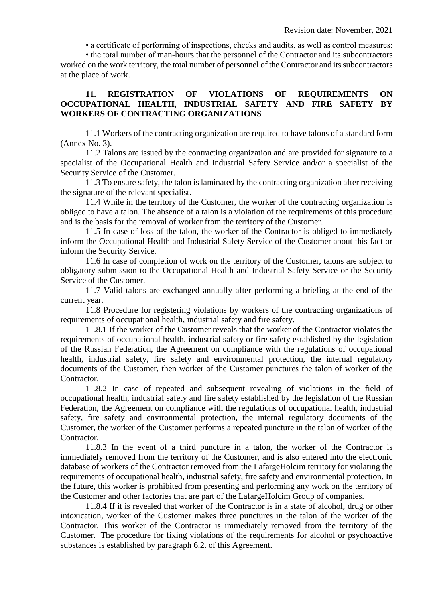• a certificate of performing of inspections, checks and audits, as well as control measures;

• the total number of man-hours that the personnel of the Contractor and its subcontractors worked on the work territory, the total number of personnel of the Contractor and its subcontractors at the place of work.

#### **11. REGISTRATION OF VIOLATIONS OF REQUIREMENTS ON OCCUPATIONAL HEALTH, INDUSTRIAL SAFETY AND FIRE SAFETY BY WORKERS OF CONTRACTING ORGANIZATIONS**

11.1 Workers of the contracting organization are required to have talons of a standard form (Annex No. 3).

11.2 Talons are issued by the contracting organization and are provided for signature to a specialist of the Occupational Health and Industrial Safety Service and/or a specialist of the Security Service of the Customer.

11.3 To ensure safety, the talon is laminated by the contracting organization after receiving the signature of the relevant specialist.

11.4 While in the territory of the Customer, the worker of the contracting organization is obliged to have a talon. The absence of a talon is a violation of the requirements of this procedure and is the basis for the removal of worker from the territory of the Customer.

11.5 In case of loss of the talon, the worker of the Contractor is obliged to immediately inform the Occupational Health and Industrial Safety Service of the Customer about this fact or inform the Security Service.

11.6 In case of completion of work on the territory of the Customer, talons are subject to obligatory submission to the Occupational Health and Industrial Safety Service or the Security Service of the Customer.

11.7 Valid talons are exchanged annually after performing a briefing at the end of the current year.

11.8 Procedure for registering violations by workers of the contracting organizations of requirements of occupational health, industrial safety and fire safety.

11.8.1 If the worker of the Customer reveals that the worker of the Contractor violates the requirements of occupational health, industrial safety or fire safety established by the legislation of the Russian Federation, the Agreement on compliance with the regulations of occupational health, industrial safety, fire safety and environmental protection, the internal regulatory documents of the Customer, then worker of the Customer punctures the talon of worker of the Contractor.

11.8.2 In case of repeated and subsequent revealing of violations in the field of occupational health, industrial safety and fire safety established by the legislation of the Russian Federation, the Agreement on compliance with the regulations of occupational health, industrial safety, fire safety and environmental protection, the internal regulatory documents of the Customer, the worker of the Customer performs a repeated puncture in the talon of worker of the Contractor.

11.8.3 In the event of a third puncture in a talon, the worker of the Contractor is immediately removed from the territory of the Customer, and is also entered into the electronic database of workers of the Contractor removed from the LafargeHolcim territory for violating the requirements of occupational health, industrial safety, fire safety and environmental protection. In the future, this worker is prohibited from presenting and performing any work on the territory of the Customer and other factories that are part of the LafargeHolcim Group of companies.

11.8.4 If it is revealed that worker of the Contractor is in a state of alcohol, drug or other intoxication, worker of the Customer makes three punctures in the talon of the worker of the Contractor. This worker of the Contractor is immediately removed from the territory of the Customer. The procedure for fixing violations of the requirements for alcohol or psychoactive substances is established by paragraph 6.2. of this Agreement.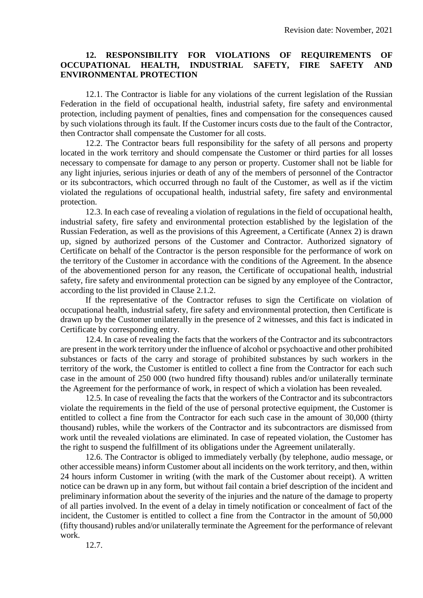## **12. RESPONSIBILITY FOR VIOLATIONS OF REQUIREMENTS OF OCCUPATIONAL HEALTH, INDUSTRIAL SAFETY, FIRE SAFETY AND ENVIRONMENTAL PROTECTION**

12.1. The Contractor is liable for any violations of the current legislation of the Russian Federation in the field of occupational health, industrial safety, fire safety and environmental protection, including payment of penalties, fines and compensation for the consequences caused by such violations through its fault. If the Customer incurs costs due to the fault of the Contractor, then Contractor shall compensate the Customer for all costs.

12.2. The Contractor bears full responsibility for the safety of all persons and property located in the work territory and should compensate the Customer or third parties for all losses necessary to compensate for damage to any person or property. Customer shall not be liable for any light injuries, serious injuries or death of any of the members of personnel of the Contractor or its subcontractors, which occurred through no fault of the Customer, as well as if the victim violated the regulations of occupational health, industrial safety, fire safety and environmental protection.

12.3. In each case of revealing a violation of regulations in the field of occupational health, industrial safety, fire safety and environmental protection established by the legislation of the Russian Federation, as well as the provisions of this Agreement, a Certificate (Annex 2) is drawn up, signed by authorized persons of the Customer and Contractor. Authorized signatory of Certificate on behalf of the Contractor is the person responsible for the performance of work on the territory of the Customer in accordance with the conditions of the Agreement. In the absence of the abovementioned person for any reason, the Certificate of occupational health, industrial safety, fire safety and environmental protection can be signed by any employee of the Contractor, according to the list provided in Clause 2.1.2.

If the representative of the Contractor refuses to sign the Certificate on violation of occupational health, industrial safety, fire safety and environmental protection, then Certificate is drawn up by the Customer unilaterally in the presence of 2 witnesses, and this fact is indicated in Certificate by corresponding entry.

12.4. In case of revealing the facts that the workers of the Contractor and its subcontractors are present in the work territory under the influence of alcohol or psychoactive and other prohibited substances or facts of the carry and storage of prohibited substances by such workers in the territory of the work, the Customer is entitled to collect a fine from the Contractor for each such case in the amount of 250 000 (two hundred fifty thousand) rubles and/or unilaterally terminate the Agreement for the performance of work, in respect of which a violation has been revealed.

12.5. In case of revealing the facts that the workers of the Contractor and its subcontractors violate the requirements in the field of the use of personal protective equipment, the Customer is entitled to collect a fine from the Contractor for each such case in the amount of 30,000 (thirty thousand) rubles, while the workers of the Contractor and its subcontractors are dismissed from work until the revealed violations are eliminated. In case of repeated violation, the Customer has the right to suspend the fulfillment of its obligations under the Agreement unilaterally.

12.6. The Contractor is obliged to immediately verbally (by telephone, audio message, or other accessible means) inform Customer about all incidents on the work territory, and then, within 24 hours inform Customer in writing (with the mark of the Customer about receipt). A written notice can be drawn up in any form, but without fail contain a brief description of the incident and preliminary information about the severity of the injuries and the nature of the damage to property of all parties involved. In the event of a delay in timely notification or concealment of fact of the incident, the Customer is entitled to collect a fine from the Contractor in the amount of 50,000 (fifty thousand) rubles and/or unilaterally terminate the Agreement for the performance of relevant work.

12.7.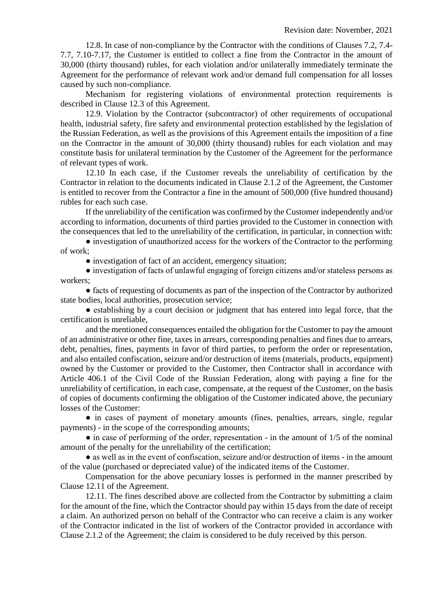12.8. In case of non-compliance by the Contractor with the conditions of Clauses 7.2, 7.4- 7.7, 7.10-7.17, the Customer is entitled to collect a fine from the Contractor in the amount of 30,000 (thirty thousand) rubles, for each violation and/or unilaterally immediately terminate the Agreement for the performance of relevant work and/or demand full compensation for all losses caused by such non-compliance.

Mechanism for registering violations of environmental protection requirements is described in Clause 12.3 of this Agreement.

12.9. Violation by the Contractor (subcontractor) of other requirements of occupational health, industrial safety, fire safety and environmental protection established by the legislation of the Russian Federation, as well as the provisions of this Agreement entails the imposition of a fine on the Contractor in the amount of 30,000 (thirty thousand) rubles for each violation and may constitute basis for unilateral termination by the Customer of the Agreement for the performance of relevant types of work.

12.10 In each case, if the Customer reveals the unreliability of certification by the Contractor in relation to the documents indicated in Clause 2.1.2 of the Agreement, the Customer is entitled to recover from the Contractor a fine in the amount of 500,000 (five hundred thousand) rubles for each such case.

If the unreliability of the certification was confirmed by the Customer independently and/or according to information, documents of third parties provided to the Customer in connection with the consequences that led to the unreliability of the certification, in particular, in connection with:

• investigation of unauthorized access for the workers of the Contractor to the performing of work;

• investigation of fact of an accident, emergency situation;

● investigation of facts of unlawful engaging of foreign citizens and/or stateless persons as workers;

● facts of requesting of documents as part of the inspection of the Contractor by authorized state bodies, local authorities, prosecution service;

• establishing by a court decision or judgment that has entered into legal force, that the certification is unreliable,

and the mentioned consequences entailed the obligation for the Customer to pay the amount of an administrative or other fine, taxes in arrears, corresponding penalties and fines due to arrears, debt, penalties, fines, payments in favor of third parties, to perform the order or representation, and also entailed confiscation, seizure and/or destruction of items (materials, products, equipment) owned by the Customer or provided to the Customer, then Contractor shall in accordance with Article 406.1 of the Civil Code of the Russian Federation, along with paying a fine for the unreliability of certification, in each case, compensate, at the request of the Customer, on the basis of copies of documents confirming the obligation of the Customer indicated above, the pecuniary losses of the Customer:

• in cases of payment of monetary amounts (fines, penalties, arrears, single, regular payments) - in the scope of the corresponding amounts;

 $\bullet$  in case of performing of the order, representation - in the amount of 1/5 of the nominal amount of the penalty for the unreliability of the certification;

• as well as in the event of confiscation, seizure and/or destruction of items - in the amount of the value (purchased or depreciated value) of the indicated items of the Customer.

Compensation for the above pecuniary losses is performed in the manner prescribed by Clause 12.11 of the Agreement.

12.11. The fines described above are collected from the Contractor by submitting a claim for the amount of the fine, which the Contractor should pay within 15 days from the date of receipt a claim. An authorized person on behalf of the Contractor who can receive a claim is any worker of the Contractor indicated in the list of workers of the Contractor provided in accordance with Clause 2.1.2 of the Agreement; the claim is considered to be duly received by this person.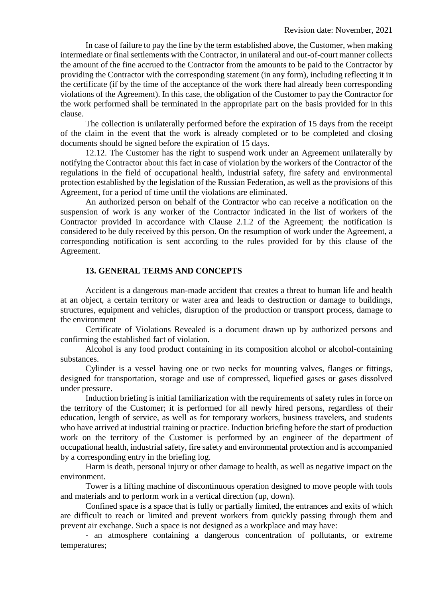In case of failure to pay the fine by the term established above, the Customer, when making intermediate or final settlements with the Contractor, in unilateral and out-of-court manner collects the amount of the fine accrued to the Contractor from the amounts to be paid to the Contractor by providing the Contractor with the corresponding statement (in any form), including reflecting it in the certificate (if by the time of the acceptance of the work there had already been corresponding violations of the Agreement). In this case, the obligation of the Customer to pay the Contractor for the work performed shall be terminated in the appropriate part on the basis provided for in this clause.

The collection is unilaterally performed before the expiration of 15 days from the receipt of the claim in the event that the work is already completed or to be completed and closing documents should be signed before the expiration of 15 days.

12.12. The Customer has the right to suspend work under an Agreement unilaterally by notifying the Contractor about this fact in case of violation by the workers of the Contractor of the regulations in the field of occupational health, industrial safety, fire safety and environmental protection established by the legislation of the Russian Federation, as well as the provisions of this Agreement, for a period of time until the violations are eliminated.

An authorized person on behalf of the Contractor who can receive a notification on the suspension of work is any worker of the Contractor indicated in the list of workers of the Contractor provided in accordance with Clause 2.1.2 of the Agreement; the notification is considered to be duly received by this person. On the resumption of work under the Agreement, a corresponding notification is sent according to the rules provided for by this clause of the Agreement.

#### **13. GENERAL TERMS AND CONCEPTS**

Accident is a dangerous man-made accident that creates a threat to human life and health at an object, a certain territory or water area and leads to destruction or damage to buildings, structures, equipment and vehicles, disruption of the production or transport process, damage to the environment

Certificate of Violations Revealed is a document drawn up by authorized persons and confirming the established fact of violation.

Alcohol is any food product containing in its composition alcohol or alcohol-containing substances.

Cylinder is a vessel having one or two necks for mounting valves, flanges or fittings, designed for transportation, storage and use of compressed, liquefied gases or gases dissolved under pressure.

Induction briefing is initial familiarization with the requirements of safety rules in force on the territory of the Customer; it is performed for all newly hired persons, regardless of their education, length of service, as well as for temporary workers, business travelers, and students who have arrived at industrial training or practice. Induction briefing before the start of production work on the territory of the Customer is performed by an engineer of the department of occupational health, industrial safety, fire safety and environmental protection and is accompanied by a corresponding entry in the briefing log.

Harm is death, personal injury or other damage to health, as well as negative impact on the environment.

Tower is a lifting machine of discontinuous operation designed to move people with tools and materials and to perform work in a vertical direction (up, down).

Confined space is a space that is fully or partially limited, the entrances and exits of which are difficult to reach or limited and prevent workers from quickly passing through them and prevent air exchange. Such a space is not designed as a workplace and may have:

- an atmosphere containing a dangerous concentration of pollutants, or extreme temperatures;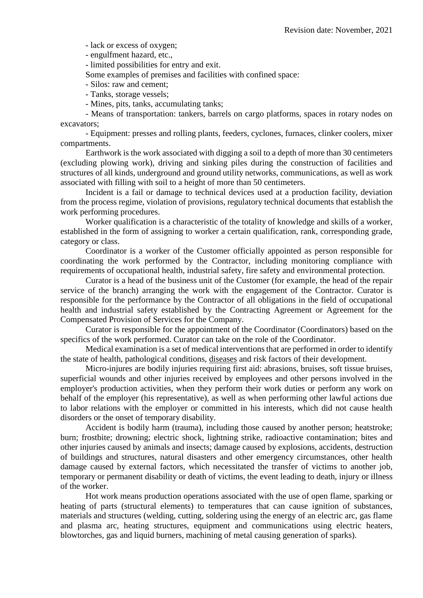- lack or excess of oxygen;

- engulfment hazard, etc.,

- limited possibilities for entry and exit.

Some examples of premises and facilities with confined space:

- Silos: raw and cement;
- Tanks, storage vessels;
- Mines, pits, tanks, accumulating tanks;

- Means of transportation: tankers, barrels on cargo platforms, spaces in rotary nodes on excavators;

- Equipment: presses and rolling plants, feeders, cyclones, furnaces, clinker coolers, mixer compartments.

Earthwork is the work associated with digging a soil to a depth of more than 30 centimeters (excluding plowing work), driving and sinking piles during the construction of facilities and structures of all kinds, underground and ground utility networks, communications, as well as work associated with filling with soil to a height of more than 50 centimeters.

Incident is a fail or damage to technical devices used at a production facility, deviation from the process regime, violation of provisions, regulatory technical documents that establish the work performing procedures.

Worker qualification is a characteristic of the totality of knowledge and skills of a worker, established in the form of assigning to worker a certain qualification, rank, corresponding grade, category or class.

Coordinator is a worker of the Customer officially appointed as person responsible for coordinating the work performed by the Contractor, including monitoring compliance with requirements of occupational health, industrial safety, fire safety and environmental protection.

Curator is a head of the business unit of the Customer (for example, the head of the repair service of the branch) arranging the work with the engagement of the Contractor. Curator is responsible for the performance by the Contractor of all obligations in the field of occupational health and industrial safety established by the Contracting Agreement or Agreement for the Compensated Provision of Services for the Company.

Curator is responsible for the appointment of the Coordinator (Coordinators) based on the specifics of the work performed. Curator can take on the role of the Coordinator.

Medical examination is a set of medical interventions that are performed in order to identify the state of health, pathological conditions, diseases and risk factors of their development.

Micro-injures are bodily injuries requiring first aid: abrasions, bruises, soft tissue bruises, superficial wounds and other injuries received by employees and other persons involved in the employer's production activities, when they perform their work duties or perform any work on behalf of the employer (his representative), as well as when performing other lawful actions due to labor relations with the employer or committed in his interests, which did not cause health disorders or the onset of temporary disability.

Accident is bodily harm (trauma), including those caused by another person; heatstroke; burn; frostbite; drowning; electric shock, lightning strike, radioactive contamination; bites and other injuries caused by animals and insects; damage caused by explosions, accidents, destruction of buildings and structures, natural disasters and other emergency circumstances, other health damage caused by external factors, which necessitated the transfer of victims to another job, temporary or permanent disability or death of victims, the event leading to death, injury or illness of the worker.

Hot work means production operations associated with the use of open flame, sparking or heating of parts (structural elements) to temperatures that can cause ignition of substances, materials and structures (welding, cutting, soldering using the energy of an electric arc, gas flame and plasma arc, heating structures, equipment and communications using electric heaters, blowtorches, gas and liquid burners, machining of metal causing generation of sparks).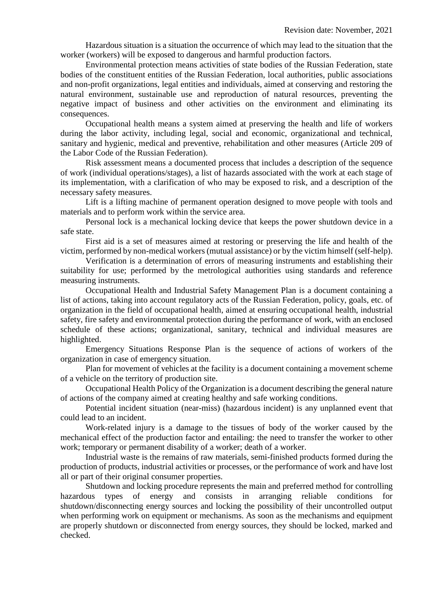Hazardous situation is a situation the occurrence of which may lead to the situation that the worker (workers) will be exposed to dangerous and harmful production factors.

Environmental protection means activities of state bodies of the Russian Federation, state bodies of the constituent entities of the Russian Federation, local authorities, public associations and non-profit organizations, legal entities and individuals, aimed at conserving and restoring the natural environment, sustainable use and reproduction of natural resources, preventing the negative impact of business and other activities on the environment and eliminating its consequences.

Occupational health means a system aimed at preserving the health and life of workers during the labor activity, including legal, social and economic, organizational and technical, sanitary and hygienic, medical and preventive, rehabilitation and other measures (Article 209 of the Labor Code of the Russian Federation).

Risk assessment means a documented process that includes a description of the sequence of work (individual operations/stages), a list of hazards associated with the work at each stage of its implementation, with a clarification of who may be exposed to risk, and a description of the necessary safety measures.

Lift is a lifting machine of permanent operation designed to move people with tools and materials and to perform work within the service area.

Personal lock is a mechanical locking device that keeps the power shutdown device in a safe state.

First aid is a set of measures aimed at restoring or preserving the life and health of the victim, performed by non-medical workers (mutual assistance) or by the victim himself (self-help).

Verification is a determination of errors of measuring instruments and establishing their suitability for use; performed by the metrological authorities using standards and reference measuring instruments.

Occupational Health and Industrial Safety Management Plan is a document containing a list of actions, taking into account regulatory acts of the Russian Federation, policy, goals, etc. of organization in the field of occupational health, aimed at ensuring occupational health, industrial safety, fire safety and environmental protection during the performance of work, with an enclosed schedule of these actions; organizational, sanitary, technical and individual measures are highlighted.

Emergency Situations Response Plan is the sequence of actions of workers of the organization in case of emergency situation.

Plan for movement of vehicles at the facility is a document containing a movement scheme of a vehicle on the territory of production site.

Occupational Health Policy of the Organization is a document describing the general nature of actions of the company aimed at creating healthy and safe working conditions.

Potential incident situation (near-miss) (hazardous incident) is any unplanned event that could lead to an incident.

Work-related injury is a damage to the tissues of body of the worker caused by the mechanical effect of the production factor and entailing: the need to transfer the worker to other work; temporary or permanent disability of a worker; death of a worker.

Industrial waste is the remains of raw materials, semi-finished products formed during the production of products, industrial activities or processes, or the performance of work and have lost all or part of their original consumer properties.

Shutdown and locking procedure represents the main and preferred method for controlling hazardous types of energy and consists in arranging reliable conditions for shutdown/disconnecting energy sources and locking the possibility of their uncontrolled output when performing work on equipment or mechanisms. As soon as the mechanisms and equipment are properly shutdown or disconnected from energy sources, they should be locked, marked and checked.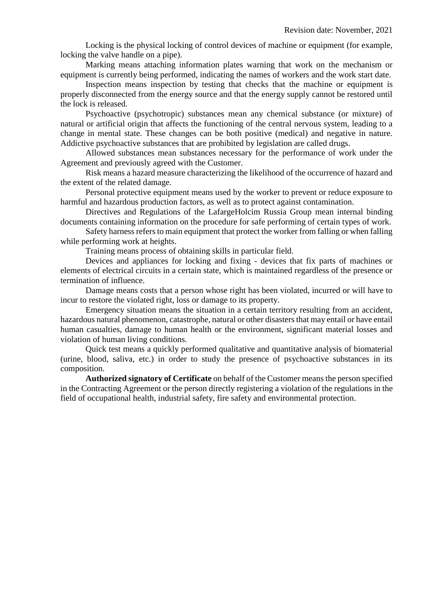Locking is the physical locking of control devices of machine or equipment (for example, locking the valve handle on a pipe).

Marking means attaching information plates warning that work on the mechanism or equipment is currently being performed, indicating the names of workers and the work start date.

Inspection means inspection by testing that checks that the machine or equipment is properly disconnected from the energy source and that the energy supply cannot be restored until the lock is released.

Psychoactive (psychotropic) substances mean any chemical substance (or mixture) of natural or artificial origin that affects the functioning of the central nervous system, leading to a change in mental state. These changes can be both positive (medical) and negative in nature. Addictive psychoactive substances that are prohibited by legislation are called drugs.

Allowed substances mean substances necessary for the performance of work under the Agreement and previously agreed with the Customer.

Risk means a hazard measure characterizing the likelihood of the occurrence of hazard and the extent of the related damage.

Personal protective equipment means used by the worker to prevent or reduce exposure to harmful and hazardous production factors, as well as to protect against contamination.

Directives and Regulations of the LafargeHolcim Russia Group mean internal binding documents containing information on the procedure for safe performing of certain types of work.

Safety harness refers to main equipment that protect the worker from falling or when falling while performing work at heights.

Training means process of obtaining skills in particular field.

Devices and appliances for locking and fixing - devices that fix parts of machines or elements of electrical circuits in a certain state, which is maintained regardless of the presence or termination of influence.

Damage means costs that a person whose right has been violated, incurred or will have to incur to restore the violated right, loss or damage to its property.

Emergency situation means the situation in a certain territory resulting from an accident, hazardous natural phenomenon, catastrophe, natural or other disasters that may entail or have entail human casualties, damage to human health or the environment, significant material losses and violation of human living conditions.

Quick test means a quickly performed qualitative and quantitative analysis of biomaterial (urine, blood, saliva, etc.) in order to study the presence of psychoactive substances in its composition.

**Authorized signatory of Certificate** on behalf of the Customer means the person specified in the Contracting Agreement or the person directly registering a violation of the regulations in the field of occupational health, industrial safety, fire safety and environmental protection.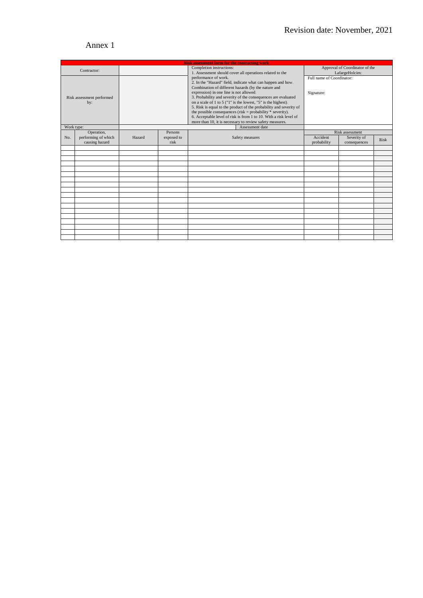# Annex 1

| <b>Risk assessment form for the contracting work</b> |                     |                                                                                                                                                                                                                                                                                                                                                                                                                                                  |                |                                                             |                                |                 |      |
|------------------------------------------------------|---------------------|--------------------------------------------------------------------------------------------------------------------------------------------------------------------------------------------------------------------------------------------------------------------------------------------------------------------------------------------------------------------------------------------------------------------------------------------------|----------------|-------------------------------------------------------------|--------------------------------|-----------------|------|
| Contractor:                                          |                     | Completion instructions:<br>1. Assessment should cover all operations related to the                                                                                                                                                                                                                                                                                                                                                             |                |                                                             | Approval of Coordinator of the |                 |      |
|                                                      |                     |                                                                                                                                                                                                                                                                                                                                                                                                                                                  |                |                                                             | LafargeHolcim:                 |                 |      |
| Risk assessment performed<br>by:                     |                     |                                                                                                                                                                                                                                                                                                                                                                                                                                                  |                | performance of work.                                        | Full name of Coordinator:      |                 |      |
|                                                      |                     |                                                                                                                                                                                                                                                                                                                                                                                                                                                  |                | 2. In the "Hazard" field, indicate what can happen and how. |                                |                 |      |
|                                                      |                     | Combination of different hazards (by the nature and<br>expression) in one line is not allowed.<br>3. Probability and severity of the consequences are evaluated<br>on a scale of 1 to 5 ( $"1"$ is the lowest, $"5"$ is the highest).<br>5. Risk is equal to the product of the probability and severity of<br>the possible consequences (risk = probability $*$ severity).<br>6. Acceptable level of risk is from 1 to 10. With a risk level of |                |                                                             | Signature:                     |                 |      |
|                                                      |                     |                                                                                                                                                                                                                                                                                                                                                                                                                                                  |                |                                                             |                                |                 |      |
|                                                      |                     |                                                                                                                                                                                                                                                                                                                                                                                                                                                  |                |                                                             |                                |                 |      |
|                                                      |                     |                                                                                                                                                                                                                                                                                                                                                                                                                                                  |                |                                                             |                                |                 |      |
|                                                      |                     |                                                                                                                                                                                                                                                                                                                                                                                                                                                  |                |                                                             |                                |                 |      |
|                                                      |                     |                                                                                                                                                                                                                                                                                                                                                                                                                                                  |                |                                                             |                                |                 |      |
|                                                      |                     |                                                                                                                                                                                                                                                                                                                                                                                                                                                  |                |                                                             |                                |                 |      |
|                                                      |                     |                                                                                                                                                                                                                                                                                                                                                                                                                                                  |                | more than 10, it is necessary to review safety measures.    |                                |                 |      |
| Work type:                                           |                     |                                                                                                                                                                                                                                                                                                                                                                                                                                                  |                | Assessment date                                             |                                |                 |      |
|                                                      | Operation,          |                                                                                                                                                                                                                                                                                                                                                                                                                                                  | <b>Persons</b> |                                                             |                                | Risk assessment |      |
| No.                                                  | performing of which | Hazard                                                                                                                                                                                                                                                                                                                                                                                                                                           | exposed to     | Safety measures                                             | Accident                       | Severity of     | Risk |
|                                                      | causing hazard      |                                                                                                                                                                                                                                                                                                                                                                                                                                                  | risk           |                                                             | probability                    | consequences    |      |
|                                                      |                     |                                                                                                                                                                                                                                                                                                                                                                                                                                                  |                |                                                             |                                |                 |      |
|                                                      |                     |                                                                                                                                                                                                                                                                                                                                                                                                                                                  |                |                                                             |                                |                 |      |
|                                                      |                     |                                                                                                                                                                                                                                                                                                                                                                                                                                                  |                |                                                             |                                |                 |      |
|                                                      |                     |                                                                                                                                                                                                                                                                                                                                                                                                                                                  |                |                                                             |                                |                 |      |
|                                                      |                     |                                                                                                                                                                                                                                                                                                                                                                                                                                                  |                |                                                             |                                |                 |      |
|                                                      |                     |                                                                                                                                                                                                                                                                                                                                                                                                                                                  |                |                                                             |                                |                 |      |
|                                                      |                     |                                                                                                                                                                                                                                                                                                                                                                                                                                                  |                |                                                             |                                |                 |      |
|                                                      |                     |                                                                                                                                                                                                                                                                                                                                                                                                                                                  |                |                                                             |                                |                 |      |
|                                                      |                     |                                                                                                                                                                                                                                                                                                                                                                                                                                                  |                |                                                             |                                |                 |      |
|                                                      |                     |                                                                                                                                                                                                                                                                                                                                                                                                                                                  |                |                                                             |                                |                 |      |
|                                                      |                     |                                                                                                                                                                                                                                                                                                                                                                                                                                                  |                |                                                             |                                |                 |      |
|                                                      |                     |                                                                                                                                                                                                                                                                                                                                                                                                                                                  |                |                                                             |                                |                 |      |
|                                                      |                     |                                                                                                                                                                                                                                                                                                                                                                                                                                                  |                |                                                             |                                |                 |      |
|                                                      |                     |                                                                                                                                                                                                                                                                                                                                                                                                                                                  |                |                                                             |                                |                 |      |
|                                                      |                     |                                                                                                                                                                                                                                                                                                                                                                                                                                                  |                |                                                             |                                |                 |      |
|                                                      |                     |                                                                                                                                                                                                                                                                                                                                                                                                                                                  |                |                                                             |                                |                 |      |
|                                                      |                     |                                                                                                                                                                                                                                                                                                                                                                                                                                                  |                |                                                             |                                |                 |      |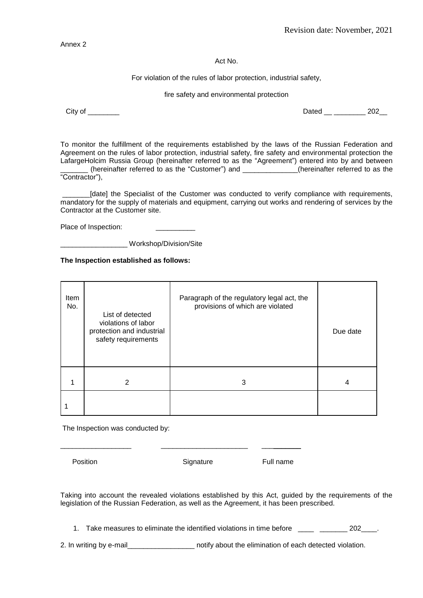Annex 2

Act No.

For violation of the rules of labor protection, industrial safety,

fire safety and environmental protection

City of \_\_\_\_\_\_\_\_ Dated \_\_ \_\_\_\_\_\_\_\_ 202\_\_

To monitor the fulfillment of the requirements established by the laws of the Russian Federation and Agreement on the rules of labor protection, industrial safety, fire safety and environmental protection the LafargeHolcim Russia Group (hereinafter referred to as the "Agreement") entered into by and between (hereinafter referred to as the "Customer") and (hereinafter referred to as the

"Contractor"),

\_\_\_\_\_\_\_[date] the Specialist of the Customer was conducted to verify compliance with requirements, mandatory for the supply of materials and equipment, carrying out works and rendering of services by the Contractor at the Customer site.

Place of Inspection:

\_\_\_\_\_\_\_\_\_\_\_\_\_\_\_\_\_ Workshop/Division/Site

**The Inspection established as follows:**

| Item<br>No. | List of detected<br>violations of labor<br>protection and industrial<br>safety requirements | Paragraph of the regulatory legal act, the<br>provisions of which are violated | Due date |
|-------------|---------------------------------------------------------------------------------------------|--------------------------------------------------------------------------------|----------|
|             | 2                                                                                           | 3                                                                              | 4        |
|             |                                                                                             |                                                                                |          |

The Inspection was conducted by:

Position **Signature** Full name

\_\_\_\_\_\_\_\_\_\_\_\_\_\_\_\_\_\_ \_\_\_\_\_\_\_\_\_\_\_\_\_\_\_\_\_\_\_\_\_\_ \_\_\_\_\_\_\_\_\_\_

Taking into account the revealed violations established by this Act, guided by the requirements of the legislation of the Russian Federation, as well as the Agreement, it has been prescribed.

1. Take measures to eliminate the identified violations in time before \_\_\_\_ \_\_\_\_\_\_\_\_ 202\_\_\_\_.

2. In writing by e-mail\_\_\_\_\_\_\_\_\_\_\_\_\_\_\_\_\_ notify about the elimination of each detected violation.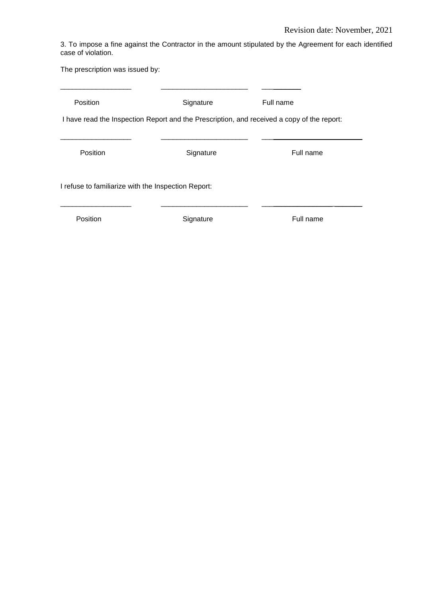3. To impose a fine against the Contractor in the amount stipulated by the Agreement for each identified case of violation.

The prescription was issued by:

| Position                                                                                   | Signature | Full name |  |  |  |
|--------------------------------------------------------------------------------------------|-----------|-----------|--|--|--|
| I have read the Inspection Report and the Prescription, and received a copy of the report: |           |           |  |  |  |
|                                                                                            |           |           |  |  |  |
| Position                                                                                   | Signature | Full name |  |  |  |
| I refuse to familiarize with the Inspection Report:                                        |           |           |  |  |  |
| Position                                                                                   | Signature | Full name |  |  |  |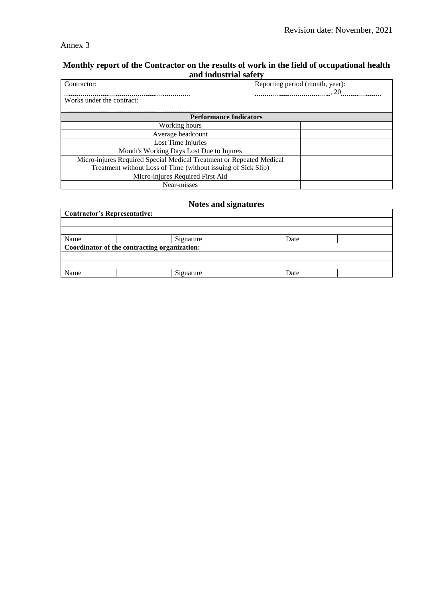## Annex 3

## **Monthly report of the Contractor on the results of work in the field of occupational health and industrial safety**

| Contractor:                                                          | Reporting period (month, year):                                |  |  |  |  |
|----------------------------------------------------------------------|----------------------------------------------------------------|--|--|--|--|
| Works under the contract:                                            | $\cdots$ $\cdots$ $\cdots$ $\cdots$ $\cdots$ $\cdots$ $\cdots$ |  |  |  |  |
| <b>Performance Indicators</b>                                        |                                                                |  |  |  |  |
| Working hours                                                        |                                                                |  |  |  |  |
| Average headcount                                                    |                                                                |  |  |  |  |
| Lost Time Injuries                                                   |                                                                |  |  |  |  |
| Month's Working Days Lost Due to Injures                             |                                                                |  |  |  |  |
| Micro-injures Required Special Medical Treatment or Repeated Medical |                                                                |  |  |  |  |
| Treatment without Loss of Time (without issuing of Sick Slip)        |                                                                |  |  |  |  |
| Micro-injures Required First Aid                                     |                                                                |  |  |  |  |
| Near-misses                                                          |                                                                |  |  |  |  |

# **Notes and signatures**

| <b>Contractor's Representative:</b>          |           |      |  |  |  |  |
|----------------------------------------------|-----------|------|--|--|--|--|
|                                              |           |      |  |  |  |  |
|                                              |           |      |  |  |  |  |
| Name                                         | Signature | Date |  |  |  |  |
| Coordinator of the contracting organization: |           |      |  |  |  |  |
|                                              |           |      |  |  |  |  |
|                                              |           |      |  |  |  |  |
| Name                                         | Signature | Date |  |  |  |  |